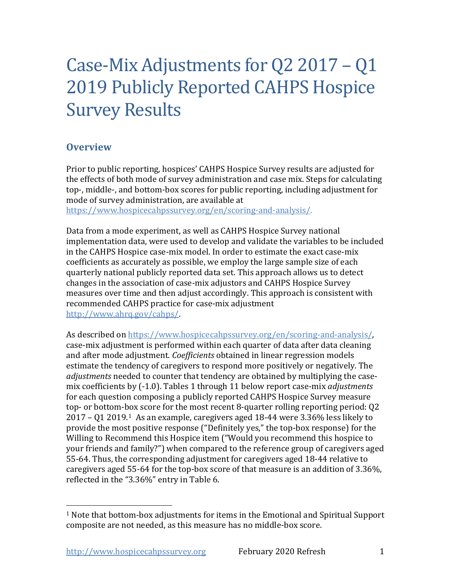# Case-Mix Adjustments for Q2 2017 – Q1 2019 Publicly Reported CAHPS Hospice Survey Results

# **Overview**

Prior to public reporting, hospices' CAHPS Hospice Survey results are adjusted for the effects of both mode of survey administration and case mix. Steps for calculating top-, middle-, and bottom-box scores for public reporting, including adjustment for mode of survey administration, are available at

[https://www.hospicecahpssurvey.org/en/scoring-and-analysis/.](https://hospicecahpssurvey.org/en/public-reporting/scoring-and-analysis/)

Data from a mode experiment, as well as CAHPS Hospice Survey national implementation data, were used to develop and validate the variables to be included in the CAHPS Hospice case-mix model. In order to estimate the exact case-mix coefficients as accurately as possible, we employ the large sample size of each quarterly national publicly reported data set. This approach allows us to detect changes in the association of case-mix adjustors and CAHPS Hospice Survey measures over time and then adjust accordingly. This approach is consistent with recommended CAHPS practice for case-mix adjustment [http://www.ahrq.gov/cahps/.](https://www.ahrq.gov/cahps/)

As described on [https://www.hospicecahpssurvey.org/en/scoring-and-analysis/,](https://hospicecahpssurvey.org/en/public-reporting/scoring-and-analysis/) case-mix adjustment is performed within each quarter of data after data cleaning and after mode adjustment. *Coefficients* obtained in linear regression models estimate the tendency of caregivers to respond more positively or negatively. The *adjustments* needed to counter that tendency are obtained by multiplying the casemix coefficients by (-1.0). Tables 1 through 11 below report case-mix *adjustments* for each question composing a publicly reported CAHPS Hospice Survey measure top- or bottom-box score for the most recent 8-quarter rolling reporting period: Q2 2017 – Q1 2019.[1](#page-0-0) As an example, caregivers aged 18-44 were 3.36% less likely to provide the most positive response ("Definitely yes," the top-box response) for the Willing to Recommend this Hospice item ("Would you recommend this hospice to your friends and family?") when compared to the reference group of caregivers aged 55-64. Thus, the corresponding adjustment for caregivers aged 18-44 relative to caregivers aged 55-64 for the top-box score of that measure is an addition of 3.36%, reflected in the "3.36%" entry in Table 6.

<span id="page-0-0"></span><sup>1</sup> Note that bottom-box adjustments for items in the Emotional and Spiritual Support composite are not needed, as this measure has no middle-box score.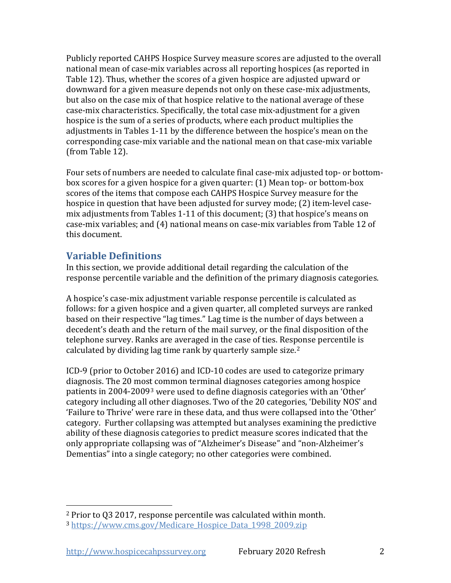Publicly reported CAHPS Hospice Survey measure scores are adjusted to the overall national mean of case-mix variables across all reporting hospices (as reported in Table 12). Thus, whether the scores of a given hospice are adjusted upward or downward for a given measure depends not only on these case-mix adjustments, but also on the case mix of that hospice relative to the national average of these case-mix characteristics. Specifically, the total case mix-adjustment for a given hospice is the sum of a series of products, where each product multiplies the adjustments in Tables 1-11 by the difference between the hospice's mean on the corresponding case-mix variable and the national mean on that case-mix variable (from Table 12).

Four sets of numbers are needed to calculate final case-mix adjusted top- or bottombox scores for a given hospice for a given quarter: (1) Mean top- or bottom-box scores of the items that compose each CAHPS Hospice Survey measure for the hospice in question that have been adjusted for survey mode; (2) item-level casemix adjustments from Tables 1-11 of this document; (3) that hospice's means on case-mix variables; and (4) national means on case-mix variables from Table 12 of this document.

# **Variable Definitions**

In this section, we provide additional detail regarding the calculation of the response percentile variable and the definition of the primary diagnosis categories.

A hospice's case-mix adjustment variable response percentile is calculated as follows: for a given hospice and a given quarter, all completed surveys are ranked based on their respective "lag times." Lag time is the number of days between a decedent's death and the return of the mail survey, or the final disposition of the telephone survey. Ranks are averaged in the case of ties. Response percentile is calculated by dividing lag time rank by quarterly sample size.<sup>[2](#page-1-0)</sup>

ICD-9 (prior to October 2016) and ICD-10 codes are used to categorize primary diagnosis. The 20 most common terminal diagnoses categories among hospice patients in 2004-2009[3](#page-1-1) were used to define diagnosis categories with an 'Other' category including all other diagnoses. Two of the 20 categories, 'Debility NOS' and 'Failure to Thrive' were rare in these data, and thus were collapsed into the 'Other' category. Further collapsing was attempted but analyses examining the predictive ability of these diagnosis categories to predict measure scores indicated that the only appropriate collapsing was of "Alzheimer's Disease" and "non-Alzheimer's Dementias" into a single category; no other categories were combined.

<span id="page-1-0"></span><sup>2</sup> Prior to Q3 2017, response percentile was calculated within month.

<span id="page-1-1"></span><sup>3</sup> https://www.cms.gov/Medicare Hospice Data 1998 2009.zip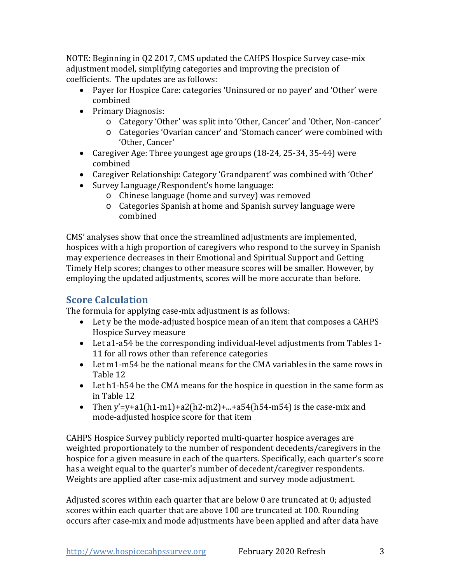NOTE: Beginning in Q2 2017, CMS updated the CAHPS Hospice Survey case-mix adjustment model, simplifying categories and improving the precision of coefficients. The updates are as follows:

- Payer for Hospice Care: categories 'Uninsured or no payer' and 'Other' were combined
- Primary Diagnosis:
	- o Category 'Other' was split into 'Other, Cancer' and 'Other, Non-cancer'
	- o Categories 'Ovarian cancer' and 'Stomach cancer' were combined with 'Other, Cancer'
- Caregiver Age: Three youngest age groups (18-24, 25-34, 35-44) were combined
- Caregiver Relationship: Category 'Grandparent' was combined with 'Other'
- Survey Language/Respondent's home language:
	- o Chinese language (home and survey) was removed
	- o Categories Spanish at home and Spanish survey language were combined

CMS' analyses show that once the streamlined adjustments are implemented, hospices with a high proportion of caregivers who respond to the survey in Spanish may experience decreases in their Emotional and Spiritual Support and Getting Timely Help scores; changes to other measure scores will be smaller. However, by employing the updated adjustments, scores will be more accurate than before.

# **Score Calculation**

The formula for applying case-mix adjustment is as follows:

- Let y be the mode-adjusted hospice mean of an item that composes a CAHPS Hospice Survey measure
- Let a1-a54 be the corresponding individual-level adjustments from Tables 1- 11 for all rows other than reference categories
- Let m1-m54 be the national means for the CMA variables in the same rows in Table 12
- Let h1-h54 be the CMA means for the hospice in question in the same form as in Table 12
- Then y'=y+a1(h1-m1)+a2(h2-m2)+...+a54(h54-m54) is the case-mix and mode-adjusted hospice score for that item

CAHPS Hospice Survey publicly reported multi-quarter hospice averages are weighted proportionately to the number of respondent decedents/caregivers in the hospice for a given measure in each of the quarters. Specifically, each quarter's score has a weight equal to the quarter's number of decedent/caregiver respondents. Weights are applied after case-mix adjustment and survey mode adjustment.

Adjusted scores within each quarter that are below 0 are truncated at 0; adjusted scores within each quarter that are above 100 are truncated at 100. Rounding occurs after case-mix and mode adjustments have been applied and after data have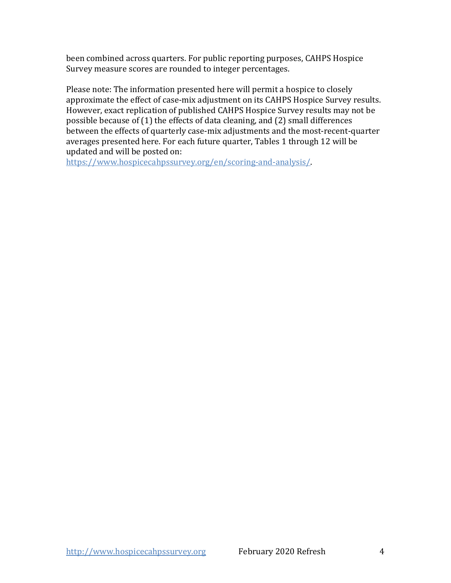been combined across quarters. For public reporting purposes, CAHPS Hospice Survey measure scores are rounded to integer percentages.

Please note: The information presented here will permit a hospice to closely approximate the effect of case-mix adjustment on its CAHPS Hospice Survey results. However, exact replication of published CAHPS Hospice Survey results may not be possible because of (1) the effects of data cleaning, and (2) small differences between the effects of quarterly case-mix adjustments and the most-recent-quarter averages presented here. For each future quarter, Tables 1 through 12 will be updated and will be posted on:

[https://www.hospicecahpssurvey.org/en/scoring-and-analysis/.](https://hospicecahpssurvey.org/en/public-reporting/scoring-and-analysis/)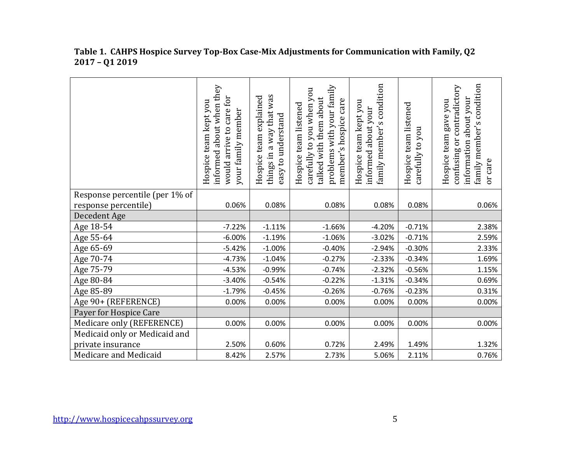|                                | informed about when they<br>would arrive to care for<br>Hospice team kept you<br>your family member | things in a way that was<br>team explained<br>easy to understand<br>Hospice | problems with your family<br>carefully to you when you<br>talked with them about<br>member's hospice care<br>Hospice team listened | family member's condition<br>Hospice team kept you<br>informed about your | Hospice team listened<br>carefully to you | family member's condition<br>or contradictory<br>about your<br>Hospice team gave you<br>information<br>confusing<br>or care |
|--------------------------------|-----------------------------------------------------------------------------------------------------|-----------------------------------------------------------------------------|------------------------------------------------------------------------------------------------------------------------------------|---------------------------------------------------------------------------|-------------------------------------------|-----------------------------------------------------------------------------------------------------------------------------|
| Response percentile (per 1% of |                                                                                                     |                                                                             |                                                                                                                                    |                                                                           |                                           |                                                                                                                             |
| response percentile)           | 0.06%                                                                                               | 0.08%                                                                       | 0.08%                                                                                                                              | 0.08%                                                                     | 0.08%                                     | 0.06%                                                                                                                       |
| Decedent Age                   |                                                                                                     |                                                                             |                                                                                                                                    |                                                                           |                                           |                                                                                                                             |
| Age 18-54                      | $-7.22%$                                                                                            | $-1.11%$                                                                    | $-1.66%$                                                                                                                           | $-4.20%$                                                                  | $-0.71%$                                  | 2.38%                                                                                                                       |
| Age 55-64                      | $-6.00%$                                                                                            | $-1.19%$                                                                    | $-1.06%$                                                                                                                           | $-3.02%$                                                                  | $-0.71%$                                  | 2.59%                                                                                                                       |
| Age 65-69                      | $-5.42%$                                                                                            | $-1.00%$                                                                    | $-0.40%$                                                                                                                           | $-2.94%$                                                                  | $-0.30%$                                  | 2.33%                                                                                                                       |
| Age 70-74                      | $-4.73%$                                                                                            | $-1.04%$                                                                    | $-0.27%$                                                                                                                           | $-2.33%$                                                                  | $-0.34%$                                  | 1.69%                                                                                                                       |
| Age 75-79                      | $-4.53%$                                                                                            | $-0.99%$                                                                    | $-0.74%$                                                                                                                           | $-2.32%$                                                                  | $-0.56%$                                  | 1.15%                                                                                                                       |
| Age 80-84                      | $-3.40%$                                                                                            | $-0.54%$                                                                    | $-0.22%$                                                                                                                           | $-1.31%$                                                                  | $-0.34%$                                  | 0.69%                                                                                                                       |
| Age 85-89                      | $-1.79%$                                                                                            | $-0.45%$                                                                    | $-0.26%$                                                                                                                           | $-0.76%$                                                                  | $-0.23%$                                  | 0.31%                                                                                                                       |
| Age 90+ (REFERENCE)            | 0.00%                                                                                               | 0.00%                                                                       | 0.00%                                                                                                                              | 0.00%                                                                     | 0.00%                                     | 0.00%                                                                                                                       |
| Payer for Hospice Care         |                                                                                                     |                                                                             |                                                                                                                                    |                                                                           |                                           |                                                                                                                             |
| Medicare only (REFERENCE)      | 0.00%                                                                                               | 0.00%                                                                       | 0.00%                                                                                                                              | 0.00%                                                                     | 0.00%                                     | 0.00%                                                                                                                       |
| Medicaid only or Medicaid and  |                                                                                                     |                                                                             |                                                                                                                                    |                                                                           |                                           |                                                                                                                             |
| private insurance              | 2.50%                                                                                               | 0.60%                                                                       | 0.72%                                                                                                                              | 2.49%                                                                     | 1.49%                                     | 1.32%                                                                                                                       |
| Medicare and Medicaid          | 8.42%                                                                                               | 2.57%                                                                       | 2.73%                                                                                                                              | 5.06%                                                                     | 2.11%                                     | 0.76%                                                                                                                       |

#### **Table 1. CAHPS Hospice Survey Top-Box Case-Mix Adjustments for Communication with Family, Q2 2017 – Q1 2019**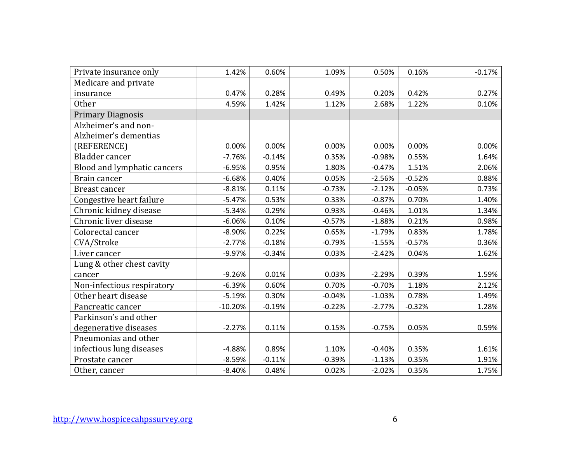| Private insurance only      | 1.42%     | 0.60%    | 1.09%    | 0.50%    | 0.16%    | $-0.17%$ |
|-----------------------------|-----------|----------|----------|----------|----------|----------|
| Medicare and private        |           |          |          |          |          |          |
| insurance                   | 0.47%     | 0.28%    | 0.49%    | 0.20%    | 0.42%    | 0.27%    |
| <b>Other</b>                | 4.59%     | 1.42%    | 1.12%    | 2.68%    | 1.22%    | 0.10%    |
| <b>Primary Diagnosis</b>    |           |          |          |          |          |          |
| Alzheimer's and non-        |           |          |          |          |          |          |
| Alzheimer's dementias       |           |          |          |          |          |          |
| (REFERENCE)                 | 0.00%     | 0.00%    | 0.00%    | 0.00%    | 0.00%    | 0.00%    |
| Bladder cancer              | $-7.76%$  | $-0.14%$ | 0.35%    | $-0.98%$ | 0.55%    | 1.64%    |
| Blood and lymphatic cancers | $-6.95%$  | 0.95%    | 1.80%    | $-0.47%$ | 1.51%    | 2.06%    |
| Brain cancer                | $-6.68%$  | 0.40%    | 0.05%    | $-2.56%$ | $-0.52%$ | 0.88%    |
| <b>Breast cancer</b>        | $-8.81%$  | 0.11%    | $-0.73%$ | $-2.12%$ | $-0.05%$ | 0.73%    |
| Congestive heart failure    | $-5.47%$  | 0.53%    | 0.33%    | $-0.87%$ | 0.70%    | 1.40%    |
| Chronic kidney disease      | $-5.34%$  | 0.29%    | 0.93%    | $-0.46%$ | 1.01%    | 1.34%    |
| Chronic liver disease       | $-6.06%$  | 0.10%    | $-0.57%$ | $-1.88%$ | 0.21%    | 0.98%    |
| Colorectal cancer           | $-8.90%$  | 0.22%    | 0.65%    | $-1.79%$ | 0.83%    | 1.78%    |
| CVA/Stroke                  | $-2.77%$  | $-0.18%$ | $-0.79%$ | $-1.55%$ | $-0.57%$ | 0.36%    |
| Liver cancer                | $-9.97%$  | $-0.34%$ | 0.03%    | $-2.42%$ | 0.04%    | 1.62%    |
| Lung & other chest cavity   |           |          |          |          |          |          |
| cancer                      | $-9.26%$  | 0.01%    | 0.03%    | $-2.29%$ | 0.39%    | 1.59%    |
| Non-infectious respiratory  | $-6.39%$  | 0.60%    | 0.70%    | $-0.70%$ | 1.18%    | 2.12%    |
| Other heart disease         | $-5.19%$  | 0.30%    | $-0.04%$ | $-1.03%$ | 0.78%    | 1.49%    |
| Pancreatic cancer           | $-10.20%$ | $-0.19%$ | $-0.22%$ | $-2.77%$ | $-0.32%$ | 1.28%    |
| Parkinson's and other       |           |          |          |          |          |          |
| degenerative diseases       | $-2.27%$  | 0.11%    | 0.15%    | $-0.75%$ | 0.05%    | 0.59%    |
| Pneumonias and other        |           |          |          |          |          |          |
| infectious lung diseases    | $-4.88%$  | 0.89%    | 1.10%    | $-0.40%$ | 0.35%    | 1.61%    |
| Prostate cancer             | $-8.59%$  | $-0.11%$ | $-0.39%$ | $-1.13%$ | 0.35%    | 1.91%    |
| Other, cancer               | $-8.40%$  | 0.48%    | 0.02%    | $-2.02%$ | 0.35%    | 1.75%    |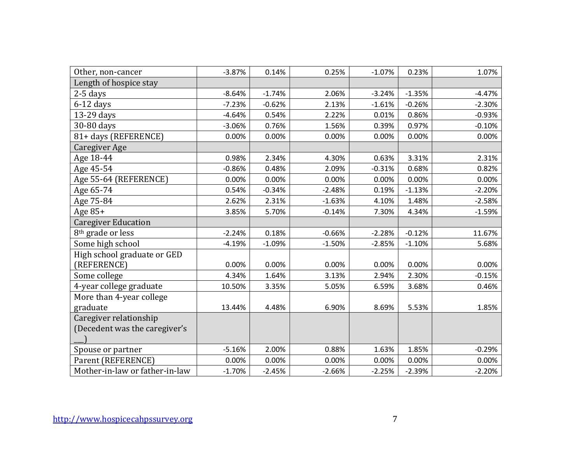| Other, non-cancer              | $-3.87%$ | 0.14%    | 0.25%    | $-1.07%$ | 0.23%    | 1.07%    |
|--------------------------------|----------|----------|----------|----------|----------|----------|
| Length of hospice stay         |          |          |          |          |          |          |
| $2-5$ days                     | $-8.64%$ | $-1.74%$ | 2.06%    | $-3.24%$ | $-1.35%$ | $-4.47%$ |
| $6-12$ days                    | $-7.23%$ | $-0.62%$ | 2.13%    | $-1.61%$ | $-0.26%$ | $-2.30%$ |
| 13-29 days                     | $-4.64%$ | 0.54%    | 2.22%    | 0.01%    | 0.86%    | $-0.93%$ |
| 30-80 days                     | $-3.06%$ | 0.76%    | 1.56%    | 0.39%    | 0.97%    | $-0.10%$ |
| 81+ days (REFERENCE)           | 0.00%    | 0.00%    | 0.00%    | 0.00%    | 0.00%    | 0.00%    |
| <b>Caregiver Age</b>           |          |          |          |          |          |          |
| Age 18-44                      | 0.98%    | 2.34%    | 4.30%    | 0.63%    | 3.31%    | 2.31%    |
| Age 45-54                      | $-0.86%$ | 0.48%    | 2.09%    | $-0.31%$ | 0.68%    | 0.82%    |
| Age 55-64 (REFERENCE)          | 0.00%    | 0.00%    | 0.00%    | 0.00%    | 0.00%    | 0.00%    |
| Age 65-74                      | 0.54%    | $-0.34%$ | $-2.48%$ | 0.19%    | $-1.13%$ | $-2.20%$ |
| Age 75-84                      | 2.62%    | 2.31%    | $-1.63%$ | 4.10%    | 1.48%    | $-2.58%$ |
| Age 85+                        | 3.85%    | 5.70%    | $-0.14%$ | 7.30%    | 4.34%    | $-1.59%$ |
| <b>Caregiver Education</b>     |          |          |          |          |          |          |
| 8 <sup>th</sup> grade or less  | $-2.24%$ | 0.18%    | $-0.66%$ | $-2.28%$ | $-0.12%$ | 11.67%   |
| Some high school               | $-4.19%$ | $-1.09%$ | $-1.50%$ | $-2.85%$ | $-1.10%$ | 5.68%    |
| High school graduate or GED    |          |          |          |          |          |          |
| (REFERENCE)                    | 0.00%    | 0.00%    | 0.00%    | 0.00%    | 0.00%    | 0.00%    |
| Some college                   | 4.34%    | 1.64%    | 3.13%    | 2.94%    | 2.30%    | $-0.15%$ |
| 4-year college graduate        | 10.50%   | 3.35%    | 5.05%    | 6.59%    | 3.68%    | 0.46%    |
| More than 4-year college       |          |          |          |          |          |          |
| graduate                       | 13.44%   | 4.48%    | 6.90%    | 8.69%    | 5.53%    | 1.85%    |
| Caregiver relationship         |          |          |          |          |          |          |
| (Decedent was the caregiver's  |          |          |          |          |          |          |
|                                |          |          |          |          |          |          |
| Spouse or partner              | $-5.16%$ | 2.00%    | 0.88%    | 1.63%    | 1.85%    | $-0.29%$ |
| Parent (REFERENCE)             | 0.00%    | 0.00%    | 0.00%    | 0.00%    | 0.00%    | 0.00%    |
| Mother-in-law or father-in-law | $-1.70%$ | $-2.45%$ | $-2.66%$ | $-2.25%$ | $-2.39%$ | $-2.20%$ |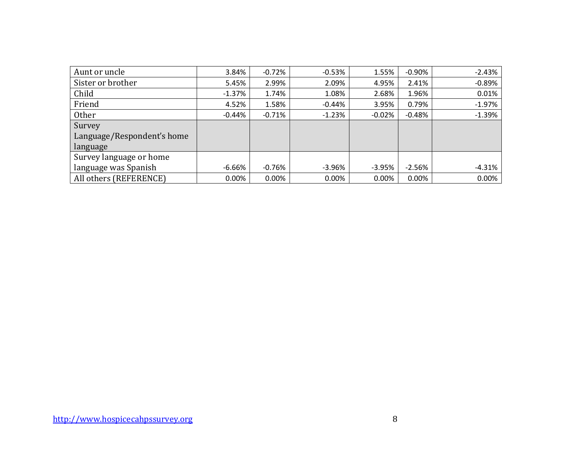| Aunt or uncle              | 3.84%     | $-0.72%$  | $-0.53%$ | 1.55%    | $-0.90%$ | $-2.43%$ |
|----------------------------|-----------|-----------|----------|----------|----------|----------|
| Sister or brother          | 5.45%     | 2.99%     | 2.09%    | 4.95%    | 2.41%    | $-0.89%$ |
| Child                      | $-1.37%$  | 1.74%     | 1.08%    | 2.68%    | 1.96%    | 0.01%    |
| Friend                     | 4.52%     | 1.58%     | $-0.44%$ | 3.95%    | 0.79%    | $-1.97%$ |
| <b>Other</b>               | $-0.44\%$ | $-0.71\%$ | $-1.23%$ | $-0.02%$ | $-0.48%$ | $-1.39%$ |
| Survey                     |           |           |          |          |          |          |
| Language/Respondent's home |           |           |          |          |          |          |
| language                   |           |           |          |          |          |          |
| Survey language or home    |           |           |          |          |          |          |
| language was Spanish       | $-6.66%$  | $-0.76%$  | $-3.96%$ | $-3.95%$ | $-2.56%$ | $-4.31%$ |
| All others (REFERENCE)     | 0.00%     | 0.00%     | $0.00\%$ | 0.00%    | 0.00%    | 0.00%    |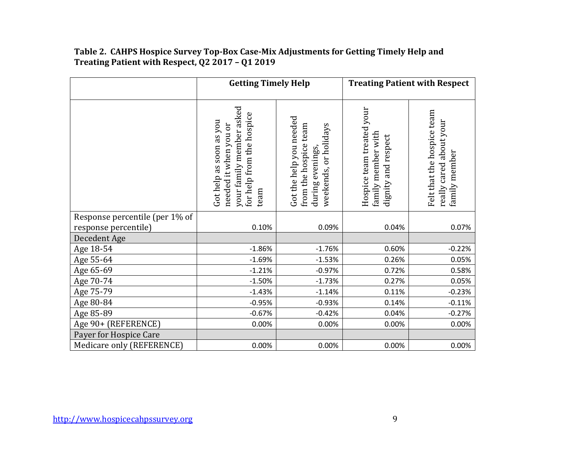# **Table 2. CAHPS Hospice Survey Top-Box Case-Mix Adjustments for Getting Timely Help and Treating Patient with Respect, Q2 2017 – Q1 2019**

|                                      | <b>Getting Timely Help</b>                                                                                        |                                                                                               |                                                                        | <b>Treating Patient with Respect</b>                                   |
|--------------------------------------|-------------------------------------------------------------------------------------------------------------------|-----------------------------------------------------------------------------------------------|------------------------------------------------------------------------|------------------------------------------------------------------------|
|                                      | your family member asked<br>for help from the hospice<br>Got help as soon as you<br>needed it when you or<br>team | Got the help you needed<br>from the hospice team<br>weekends, or holidays<br>during evenings, | Hospice team treated your<br>family member with<br>dignity and respect | Felt that the hospice team<br>really cared about your<br>family member |
| Response percentile (per 1% of       | 0.10%                                                                                                             | 0.09%                                                                                         | 0.04%                                                                  | 0.07%                                                                  |
| response percentile)<br>Decedent Age |                                                                                                                   |                                                                                               |                                                                        |                                                                        |
| Age 18-54                            | $-1.86%$                                                                                                          | $-1.76%$                                                                                      | 0.60%                                                                  | $-0.22%$                                                               |
| Age 55-64                            | $-1.69%$                                                                                                          | $-1.53%$                                                                                      | 0.26%                                                                  | 0.05%                                                                  |
| Age 65-69                            | $-1.21%$                                                                                                          | $-0.97%$                                                                                      | 0.72%                                                                  | 0.58%                                                                  |
| Age 70-74                            | $-1.50%$                                                                                                          | $-1.73%$                                                                                      | 0.27%                                                                  | 0.05%                                                                  |
| Age 75-79                            | $-1.43%$                                                                                                          | $-1.14%$                                                                                      | 0.11%                                                                  | $-0.23%$                                                               |
| Age 80-84                            | $-0.95%$                                                                                                          | $-0.93%$                                                                                      | 0.14%                                                                  | $-0.11%$                                                               |
| Age 85-89                            | $-0.67%$                                                                                                          | $-0.42%$                                                                                      | 0.04%                                                                  | $-0.27%$                                                               |
| Age 90+ (REFERENCE)                  | 0.00%                                                                                                             | 0.00%                                                                                         | 0.00%                                                                  | 0.00%                                                                  |
| Payer for Hospice Care               |                                                                                                                   |                                                                                               |                                                                        |                                                                        |
| Medicare only (REFERENCE)            | 0.00%                                                                                                             | 0.00%                                                                                         | 0.00%                                                                  | 0.00%                                                                  |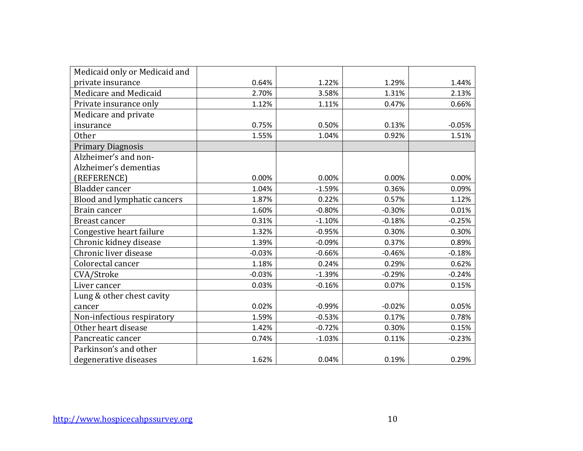| Medicaid only or Medicaid and |          |          |          |          |
|-------------------------------|----------|----------|----------|----------|
| private insurance             | 0.64%    | 1.22%    | 1.29%    | 1.44%    |
| Medicare and Medicaid         | 2.70%    | 3.58%    | 1.31%    | 2.13%    |
| Private insurance only        | 1.12%    | 1.11%    | 0.47%    | 0.66%    |
| Medicare and private          |          |          |          |          |
| insurance                     | 0.75%    | 0.50%    | 0.13%    | $-0.05%$ |
| Other                         | 1.55%    | 1.04%    | 0.92%    | 1.51%    |
| <b>Primary Diagnosis</b>      |          |          |          |          |
| Alzheimer's and non-          |          |          |          |          |
| Alzheimer's dementias         |          |          |          |          |
| (REFERENCE)                   | 0.00%    | 0.00%    | 0.00%    | 0.00%    |
| Bladder cancer                | 1.04%    | $-1.59%$ | 0.36%    | 0.09%    |
| Blood and lymphatic cancers   | 1.87%    | 0.22%    | 0.57%    | 1.12%    |
| Brain cancer                  | 1.60%    | $-0.80%$ | $-0.30%$ | 0.01%    |
| Breast cancer                 | 0.31%    | $-1.10%$ | $-0.18%$ | $-0.25%$ |
| Congestive heart failure      | 1.32%    | $-0.95%$ | 0.30%    | 0.30%    |
| Chronic kidney disease        | 1.39%    | $-0.09%$ | 0.37%    | 0.89%    |
| Chronic liver disease         | $-0.03%$ | $-0.66%$ | $-0.46%$ | $-0.18%$ |
| Colorectal cancer             | 1.18%    | 0.24%    | 0.29%    | 0.62%    |
| CVA/Stroke                    | $-0.03%$ | $-1.39%$ | $-0.29%$ | $-0.24%$ |
| Liver cancer                  | 0.03%    | $-0.16%$ | 0.07%    | 0.15%    |
| Lung & other chest cavity     |          |          |          |          |
| cancer                        | 0.02%    | $-0.99%$ | $-0.02%$ | 0.05%    |
| Non-infectious respiratory    | 1.59%    | $-0.53%$ | 0.17%    | 0.78%    |
| Other heart disease           | 1.42%    | $-0.72%$ | 0.30%    | 0.15%    |
| Pancreatic cancer             | 0.74%    | $-1.03%$ | 0.11%    | $-0.23%$ |
| Parkinson's and other         |          |          |          |          |
| degenerative diseases         | 1.62%    | 0.04%    | 0.19%    | 0.29%    |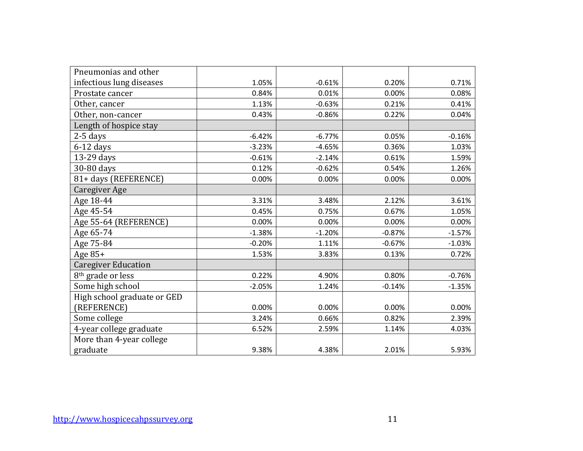| Pneumonias and other          |          |          |          |          |
|-------------------------------|----------|----------|----------|----------|
| infectious lung diseases      | 1.05%    | $-0.61%$ | 0.20%    | 0.71%    |
| Prostate cancer               | 0.84%    | 0.01%    | 0.00%    | 0.08%    |
| Other, cancer                 | 1.13%    | $-0.63%$ | 0.21%    | 0.41%    |
| Other, non-cancer             | 0.43%    | $-0.86%$ | 0.22%    | 0.04%    |
| Length of hospice stay        |          |          |          |          |
| $2-5$ days                    | $-6.42%$ | $-6.77%$ | 0.05%    | $-0.16%$ |
| $6-12$ days                   | $-3.23%$ | $-4.65%$ | 0.36%    | 1.03%    |
| 13-29 days                    | $-0.61%$ | $-2.14%$ | 0.61%    | 1.59%    |
| 30-80 days                    | 0.12%    | $-0.62%$ | 0.54%    | 1.26%    |
| 81+ days (REFERENCE)          | 0.00%    | 0.00%    | 0.00%    | 0.00%    |
| <b>Caregiver Age</b>          |          |          |          |          |
| Age 18-44                     | 3.31%    | 3.48%    | 2.12%    | 3.61%    |
| Age 45-54                     | 0.45%    | 0.75%    | 0.67%    | 1.05%    |
| Age 55-64 (REFERENCE)         | 0.00%    | 0.00%    | 0.00%    | 0.00%    |
| Age 65-74                     | $-1.38%$ | $-1.20%$ | $-0.87%$ | $-1.57%$ |
| Age 75-84                     | $-0.20%$ | 1.11%    | $-0.67%$ | $-1.03%$ |
| Age $85+$                     | 1.53%    | 3.83%    | 0.13%    | 0.72%    |
| <b>Caregiver Education</b>    |          |          |          |          |
| 8 <sup>th</sup> grade or less | 0.22%    | 4.90%    | 0.80%    | $-0.76%$ |
| Some high school              | $-2.05%$ | 1.24%    | $-0.14%$ | $-1.35%$ |
| High school graduate or GED   |          |          |          |          |
| (REFERENCE)                   | 0.00%    | 0.00%    | 0.00%    | 0.00%    |
| Some college                  | 3.24%    | 0.66%    | 0.82%    | 2.39%    |
| 4-year college graduate       | 6.52%    | 2.59%    | 1.14%    | 4.03%    |
| More than 4-year college      |          |          |          |          |
| graduate                      | 9.38%    | 4.38%    | 2.01%    | 5.93%    |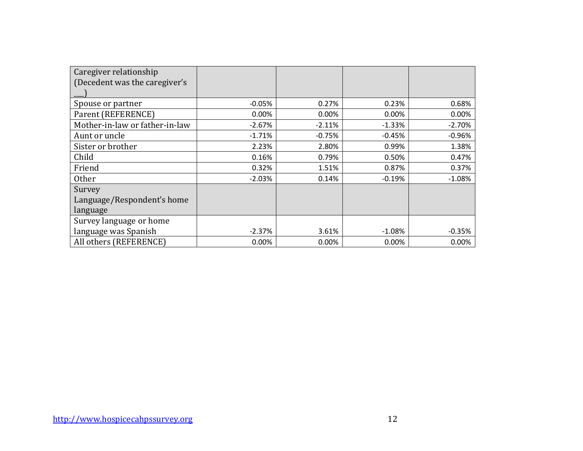| Caregiver relationship         |          |          |          |          |
|--------------------------------|----------|----------|----------|----------|
| (Decedent was the caregiver's  |          |          |          |          |
|                                |          |          |          |          |
| Spouse or partner              | $-0.05%$ | 0.27%    | 0.23%    | 0.68%    |
| Parent (REFERENCE)             | 0.00%    | $0.00\%$ | 0.00%    | 0.00%    |
| Mother-in-law or father-in-law | $-2.67%$ | $-2.11%$ | $-1.33%$ | $-2.70%$ |
| Aunt or uncle                  | $-1.71%$ | $-0.75%$ | $-0.45%$ | $-0.96%$ |
| Sister or brother              | 2.23%    | 2.80%    | 0.99%    | 1.38%    |
| Child                          | 0.16%    | 0.79%    | 0.50%    | 0.47%    |
| Friend                         | 0.32%    | 1.51%    | 0.87%    | 0.37%    |
| Other                          | $-2.03%$ | 0.14%    | $-0.19%$ | $-1.08%$ |
| Survey                         |          |          |          |          |
| Language/Respondent's home     |          |          |          |          |
| language                       |          |          |          |          |
| Survey language or home        |          |          |          |          |
| language was Spanish           | $-2.37%$ | 3.61%    | $-1.08%$ | $-0.35%$ |
| All others (REFERENCE)         | 0.00%    | 0.00%    | 0.00%    | 0.00%    |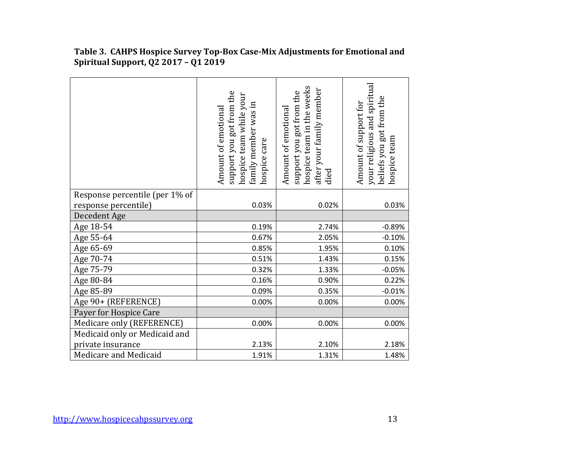|                                | support you got from the<br>hospice team while your<br>family member was in<br>Amount of emotional<br>hospice care | hospice team in the weeks<br>after your family member<br>support you got from the<br>Amount of emotional<br>died | your religious and spiritual<br>beliefs you got from the<br>Amount of support for<br>hospice team |
|--------------------------------|--------------------------------------------------------------------------------------------------------------------|------------------------------------------------------------------------------------------------------------------|---------------------------------------------------------------------------------------------------|
| Response percentile (per 1% of |                                                                                                                    |                                                                                                                  |                                                                                                   |
| response percentile)           | 0.03%                                                                                                              | 0.02%                                                                                                            | 0.03%                                                                                             |
| Decedent Age                   |                                                                                                                    |                                                                                                                  |                                                                                                   |
| Age 18-54                      | 0.19%                                                                                                              | 2.74%                                                                                                            | $-0.89%$                                                                                          |
| Age 55-64                      | 0.67%                                                                                                              | 2.05%                                                                                                            | $-0.10%$                                                                                          |
| Age 65-69                      | 0.85%                                                                                                              | 1.95%                                                                                                            | 0.10%                                                                                             |
| Age 70-74                      | 0.51%                                                                                                              | 1.43%                                                                                                            | 0.15%                                                                                             |
| Age 75-79                      | 0.32%                                                                                                              | 1.33%                                                                                                            | $-0.05%$                                                                                          |
| Age 80-84                      | 0.16%                                                                                                              | 0.90%                                                                                                            | 0.22%                                                                                             |
| Age 85-89                      | 0.09%                                                                                                              | 0.35%                                                                                                            | $-0.01%$                                                                                          |
| Age 90+ (REFERENCE)            | 0.00%                                                                                                              | 0.00%                                                                                                            | 0.00%                                                                                             |
| Payer for Hospice Care         |                                                                                                                    |                                                                                                                  |                                                                                                   |
| Medicare only (REFERENCE)      | 0.00%                                                                                                              | 0.00%                                                                                                            | 0.00%                                                                                             |
| Medicaid only or Medicaid and  |                                                                                                                    |                                                                                                                  |                                                                                                   |
| private insurance              | 2.13%                                                                                                              | 2.10%                                                                                                            | 2.18%                                                                                             |
| Medicare and Medicaid          | 1.91%                                                                                                              | 1.31%                                                                                                            | 1.48%                                                                                             |

**Table 3. CAHPS Hospice Survey Top-Box Case-Mix Adjustments for Emotional and Spiritual Support, Q2 2017 – Q1 2019**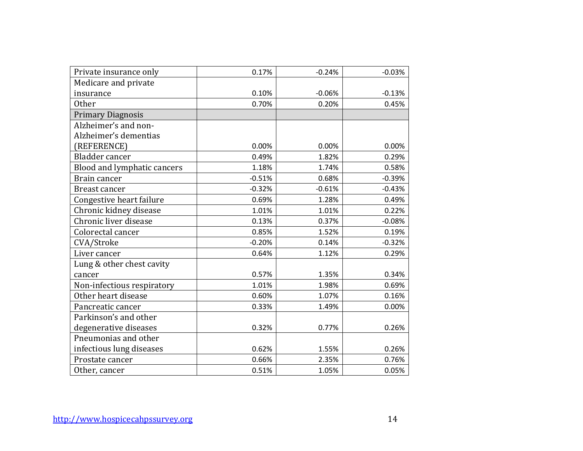| Private insurance only      | 0.17%    | $-0.24%$ | $-0.03%$ |
|-----------------------------|----------|----------|----------|
| Medicare and private        |          |          |          |
| insurance                   | 0.10%    | $-0.06%$ | $-0.13%$ |
| <b>Other</b>                | 0.70%    | 0.20%    | 0.45%    |
| <b>Primary Diagnosis</b>    |          |          |          |
| Alzheimer's and non-        |          |          |          |
| Alzheimer's dementias       |          |          |          |
| (REFERENCE)                 | 0.00%    | 0.00%    | 0.00%    |
| Bladder cancer              | 0.49%    | 1.82%    | 0.29%    |
| Blood and lymphatic cancers | 1.18%    | 1.74%    | 0.58%    |
| Brain cancer                | $-0.51%$ | 0.68%    | $-0.39%$ |
| Breast cancer               | $-0.32%$ | $-0.61%$ | $-0.43%$ |
| Congestive heart failure    | 0.69%    | 1.28%    | 0.49%    |
| Chronic kidney disease      | 1.01%    | 1.01%    | 0.22%    |
| Chronic liver disease       | 0.13%    | 0.37%    | $-0.08%$ |
| Colorectal cancer           | 0.85%    | 1.52%    | 0.19%    |
| CVA/Stroke                  | $-0.20%$ | 0.14%    | $-0.32%$ |
| Liver cancer                | 0.64%    | 1.12%    | 0.29%    |
| Lung & other chest cavity   |          |          |          |
| cancer                      | 0.57%    | 1.35%    | 0.34%    |
| Non-infectious respiratory  | 1.01%    | 1.98%    | 0.69%    |
| Other heart disease         | 0.60%    | 1.07%    | 0.16%    |
| Pancreatic cancer           | 0.33%    | 1.49%    | 0.00%    |
| Parkinson's and other       |          |          |          |
| degenerative diseases       | 0.32%    | 0.77%    | 0.26%    |
| Pneumonias and other        |          |          |          |
| infectious lung diseases    | 0.62%    | 1.55%    | 0.26%    |
| Prostate cancer             | 0.66%    | 2.35%    | 0.76%    |
| Other, cancer               | 0.51%    | 1.05%    | 0.05%    |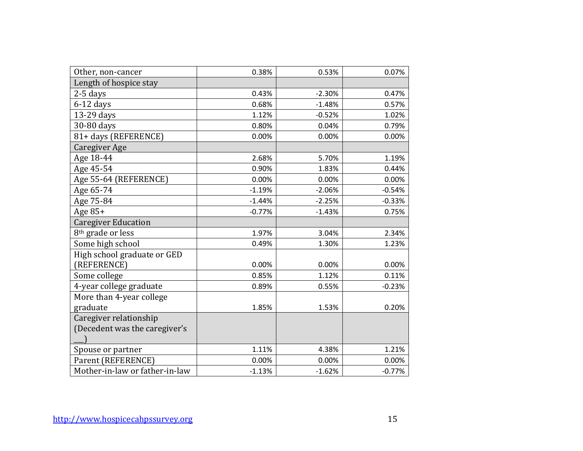| Other, non-cancer              | 0.38%    | 0.53%    | 0.07%    |
|--------------------------------|----------|----------|----------|
| Length of hospice stay         |          |          |          |
| $2-5$ days                     | 0.43%    | $-2.30%$ | 0.47%    |
| $6-12$ days                    | 0.68%    | $-1.48%$ | 0.57%    |
| 13-29 days                     | 1.12%    | $-0.52%$ | 1.02%    |
| 30-80 days                     | 0.80%    | 0.04%    | 0.79%    |
| 81+ days (REFERENCE)           | 0.00%    | 0.00%    | 0.00%    |
| Caregiver Age                  |          |          |          |
| Age 18-44                      | 2.68%    | 5.70%    | 1.19%    |
| Age 45-54                      | 0.90%    | 1.83%    | 0.44%    |
| Age 55-64 (REFERENCE)          | 0.00%    | 0.00%    | 0.00%    |
| Age 65-74                      | $-1.19%$ | $-2.06%$ | $-0.54%$ |
| Age 75-84                      | $-1.44%$ | $-2.25%$ | $-0.33%$ |
| Age 85+                        | $-0.77%$ | $-1.43%$ | 0.75%    |
| <b>Caregiver Education</b>     |          |          |          |
| 8 <sup>th</sup> grade or less  | 1.97%    | 3.04%    | 2.34%    |
| Some high school               | 0.49%    | 1.30%    | 1.23%    |
| High school graduate or GED    |          |          |          |
| (REFERENCE)                    | 0.00%    | 0.00%    | 0.00%    |
| Some college                   | 0.85%    | 1.12%    | 0.11%    |
| 4-year college graduate        | 0.89%    | 0.55%    | $-0.23%$ |
| More than 4-year college       |          |          |          |
| graduate                       | 1.85%    | 1.53%    | 0.20%    |
| Caregiver relationship         |          |          |          |
| (Decedent was the caregiver's  |          |          |          |
|                                |          |          |          |
| Spouse or partner              | 1.11%    | 4.38%    | 1.21%    |
| Parent (REFERENCE)             | 0.00%    | 0.00%    | 0.00%    |
| Mother-in-law or father-in-law | $-1.13%$ | $-1.62%$ | $-0.77%$ |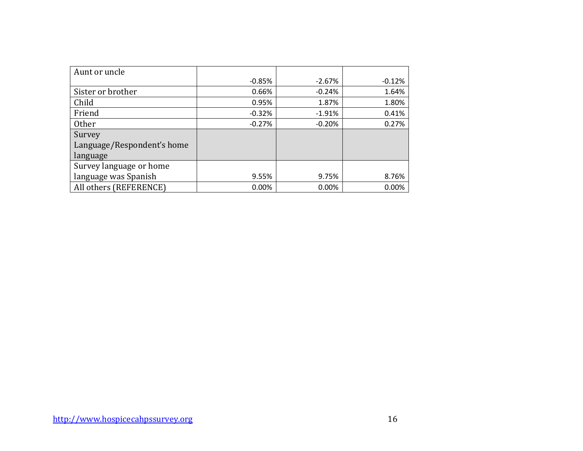| Aunt or uncle              |          |          |          |
|----------------------------|----------|----------|----------|
|                            | $-0.85%$ | $-2.67%$ | $-0.12%$ |
| Sister or brother          | 0.66%    | $-0.24%$ | 1.64%    |
| Child                      | 0.95%    | 1.87%    | 1.80%    |
| Friend                     | $-0.32%$ | $-1.91%$ | 0.41%    |
| <b>Other</b>               | $-0.27%$ | $-0.20%$ | 0.27%    |
| Survey                     |          |          |          |
| Language/Respondent's home |          |          |          |
| language                   |          |          |          |
| Survey language or home    |          |          |          |
| language was Spanish       | 9.55%    | 9.75%    | 8.76%    |
| All others (REFERENCE)     | 0.00%    | 0.00%    | 0.00%    |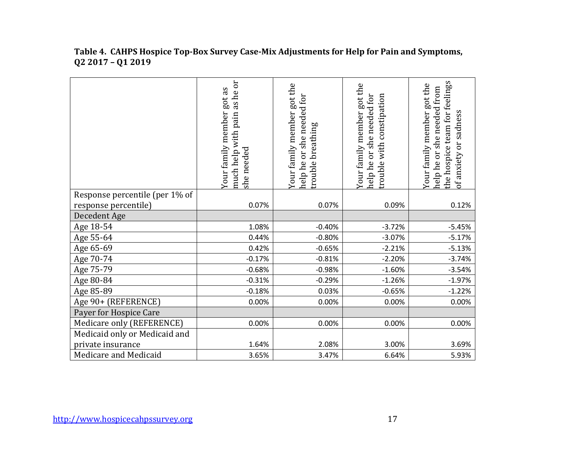#### **Table 4. CAHPS Hospice Top-Box Survey Case-Mix Adjustments for Help for Pain and Symptoms, Q2 2017 – Q1 2019**

|                                | as he or<br>got as<br>Your family member<br>pain<br>much help with<br>she needed | Your family member got the<br>help he or she needed for<br>breathing<br>trouble | Your family member got the<br>help he or she needed for<br>with constipation<br>rouble | the hospice team for feelings<br>Your family member got the<br>she needed from<br>of anxiety or sadness<br>nelp he or |
|--------------------------------|----------------------------------------------------------------------------------|---------------------------------------------------------------------------------|----------------------------------------------------------------------------------------|-----------------------------------------------------------------------------------------------------------------------|
| Response percentile (per 1% of |                                                                                  |                                                                                 |                                                                                        |                                                                                                                       |
| response percentile)           | 0.07%                                                                            | 0.07%                                                                           | 0.09%                                                                                  | 0.12%                                                                                                                 |
| Decedent Age                   |                                                                                  |                                                                                 |                                                                                        |                                                                                                                       |
| Age 18-54                      | 1.08%                                                                            | $-0.40%$                                                                        | $-3.72%$                                                                               | $-5.45%$                                                                                                              |
| Age 55-64                      | 0.44%                                                                            | $-0.80%$                                                                        | $-3.07%$                                                                               | $-5.17%$                                                                                                              |
| Age 65-69                      | 0.42%                                                                            | $-0.65%$                                                                        | $-2.21%$                                                                               | $-5.13%$                                                                                                              |
| Age 70-74                      | $-0.17%$                                                                         | $-0.81%$                                                                        | $-2.20%$                                                                               | $-3.74%$                                                                                                              |
| Age 75-79                      | $-0.68%$                                                                         | $-0.98%$                                                                        | $-1.60%$                                                                               | $-3.54%$                                                                                                              |
| Age 80-84                      | $-0.31%$                                                                         | $-0.29%$                                                                        | $-1.26%$                                                                               | $-1.97%$                                                                                                              |
| Age 85-89                      | $-0.18%$                                                                         | 0.03%                                                                           | $-0.65%$                                                                               | $-1.22%$                                                                                                              |
| Age 90+ (REFERENCE)            | 0.00%                                                                            | 0.00%                                                                           | 0.00%                                                                                  | 0.00%                                                                                                                 |
| Payer for Hospice Care         |                                                                                  |                                                                                 |                                                                                        |                                                                                                                       |
| Medicare only (REFERENCE)      | 0.00%                                                                            | 0.00%                                                                           | 0.00%                                                                                  | 0.00%                                                                                                                 |
| Medicaid only or Medicaid and  |                                                                                  |                                                                                 |                                                                                        |                                                                                                                       |
| private insurance              | 1.64%                                                                            | 2.08%                                                                           | 3.00%                                                                                  | 3.69%                                                                                                                 |
| Medicare and Medicaid          | 3.65%                                                                            | 3.47%                                                                           | 6.64%                                                                                  | 5.93%                                                                                                                 |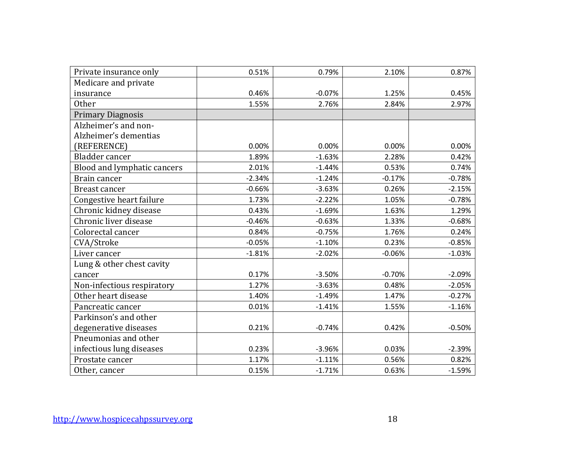| Private insurance only      | 0.51%    | 0.79%    | 2.10%    | 0.87%    |
|-----------------------------|----------|----------|----------|----------|
| Medicare and private        |          |          |          |          |
| insurance                   | 0.46%    | $-0.07%$ | 1.25%    | 0.45%    |
| <b>Other</b>                | 1.55%    | 2.76%    | 2.84%    | 2.97%    |
| <b>Primary Diagnosis</b>    |          |          |          |          |
| Alzheimer's and non-        |          |          |          |          |
| Alzheimer's dementias       |          |          |          |          |
| (REFERENCE)                 | 0.00%    | 0.00%    | 0.00%    | 0.00%    |
| Bladder cancer              | 1.89%    | $-1.63%$ | 2.28%    | 0.42%    |
| Blood and lymphatic cancers | 2.01%    | $-1.44%$ | 0.53%    | 0.74%    |
| Brain cancer                | $-2.34%$ | $-1.24%$ | $-0.17%$ | $-0.78%$ |
| Breast cancer               | $-0.66%$ | $-3.63%$ | 0.26%    | $-2.15%$ |
| Congestive heart failure    | 1.73%    | $-2.22%$ | 1.05%    | $-0.78%$ |
| Chronic kidney disease      | 0.43%    | $-1.69%$ | 1.63%    | 1.29%    |
| Chronic liver disease       | $-0.46%$ | $-0.63%$ | 1.33%    | $-0.68%$ |
| Colorectal cancer           | 0.84%    | $-0.75%$ | 1.76%    | 0.24%    |
| CVA/Stroke                  | $-0.05%$ | $-1.10%$ | 0.23%    | $-0.85%$ |
| Liver cancer                | $-1.81%$ | $-2.02%$ | $-0.06%$ | $-1.03%$ |
| Lung & other chest cavity   |          |          |          |          |
| cancer                      | 0.17%    | $-3.50%$ | $-0.70%$ | $-2.09%$ |
| Non-infectious respiratory  | 1.27%    | $-3.63%$ | 0.48%    | $-2.05%$ |
| Other heart disease         | 1.40%    | $-1.49%$ | 1.47%    | $-0.27%$ |
| Pancreatic cancer           | 0.01%    | $-1.41%$ | 1.55%    | $-1.16%$ |
| Parkinson's and other       |          |          |          |          |
| degenerative diseases       | 0.21%    | $-0.74%$ | 0.42%    | $-0.50%$ |
| Pneumonias and other        |          |          |          |          |
| infectious lung diseases    | 0.23%    | $-3.96%$ | 0.03%    | $-2.39%$ |
| Prostate cancer             | 1.17%    | $-1.11%$ | 0.56%    | 0.82%    |
| Other, cancer               | 0.15%    | $-1.71%$ | 0.63%    | $-1.59%$ |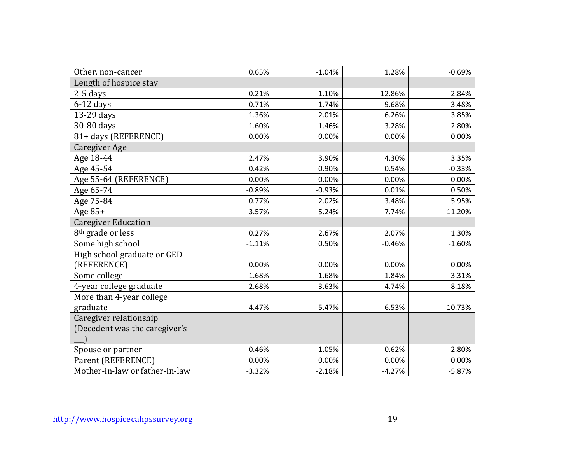| Other, non-cancer              | 0.65%    | $-1.04%$ | 1.28%    | $-0.69%$ |
|--------------------------------|----------|----------|----------|----------|
| Length of hospice stay         |          |          |          |          |
| $2-5$ days                     | $-0.21%$ | 1.10%    | 12.86%   | 2.84%    |
| $6-12$ days                    | 0.71%    | 1.74%    | 9.68%    | 3.48%    |
| 13-29 days                     | 1.36%    | 2.01%    | 6.26%    | 3.85%    |
| 30-80 days                     | 1.60%    | 1.46%    | 3.28%    | 2.80%    |
| 81+ days (REFERENCE)           | 0.00%    | 0.00%    | 0.00%    | 0.00%    |
| Caregiver Age                  |          |          |          |          |
| Age 18-44                      | 2.47%    | 3.90%    | 4.30%    | 3.35%    |
| Age 45-54                      | 0.42%    | 0.90%    | 0.54%    | $-0.33%$ |
| Age 55-64 (REFERENCE)          | 0.00%    | 0.00%    | 0.00%    | 0.00%    |
| Age 65-74                      | $-0.89%$ | $-0.93%$ | 0.01%    | 0.50%    |
| Age 75-84                      | 0.77%    | 2.02%    | 3.48%    | 5.95%    |
| Age 85+                        | 3.57%    | 5.24%    | 7.74%    | 11.20%   |
| <b>Caregiver Education</b>     |          |          |          |          |
| 8 <sup>th</sup> grade or less  | 0.27%    | 2.67%    | 2.07%    | 1.30%    |
| Some high school               | $-1.11%$ | 0.50%    | $-0.46%$ | $-1.60%$ |
| High school graduate or GED    |          |          |          |          |
| (REFERENCE)                    | 0.00%    | 0.00%    | 0.00%    | 0.00%    |
| Some college                   | 1.68%    | 1.68%    | 1.84%    | 3.31%    |
| 4-year college graduate        | 2.68%    | 3.63%    | 4.74%    | 8.18%    |
| More than 4-year college       |          |          |          |          |
| graduate                       | 4.47%    | 5.47%    | 6.53%    | 10.73%   |
| Caregiver relationship         |          |          |          |          |
| (Decedent was the caregiver's  |          |          |          |          |
|                                |          |          |          |          |
| Spouse or partner              | 0.46%    | 1.05%    | 0.62%    | 2.80%    |
| Parent (REFERENCE)             | 0.00%    | 0.00%    | 0.00%    | 0.00%    |
| Mother-in-law or father-in-law | $-3.32%$ | $-2.18%$ | $-4.27%$ | $-5.87%$ |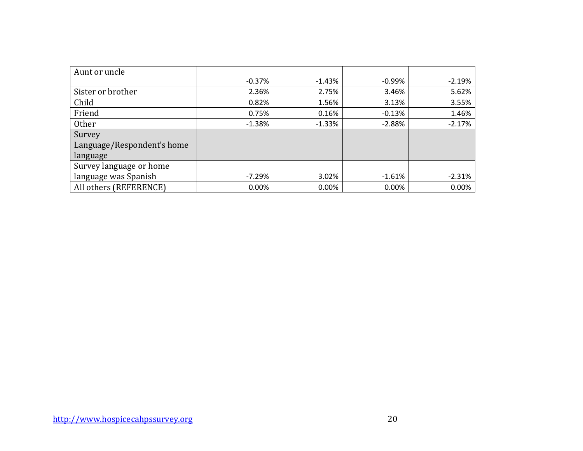| Aunt or uncle              |          |           |           |          |
|----------------------------|----------|-----------|-----------|----------|
|                            | $-0.37%$ | $-1.43\%$ | $-0.99\%$ | $-2.19%$ |
| Sister or brother          | 2.36%    | 2.75%     | 3.46%     | 5.62%    |
| Child                      | 0.82%    | 1.56%     | 3.13%     | 3.55%    |
| Friend                     | 0.75%    | 0.16%     | $-0.13%$  | 1.46%    |
| <b>Other</b>               | $-1.38%$ | $-1.33%$  | $-2.88%$  | $-2.17%$ |
| Survey                     |          |           |           |          |
| Language/Respondent's home |          |           |           |          |
| language                   |          |           |           |          |
| Survey language or home    |          |           |           |          |
| language was Spanish       | $-7.29%$ | 3.02%     | $-1.61%$  | $-2.31%$ |
| All others (REFERENCE)     | 0.00%    | 0.00%     | 0.00%     | 0.00%    |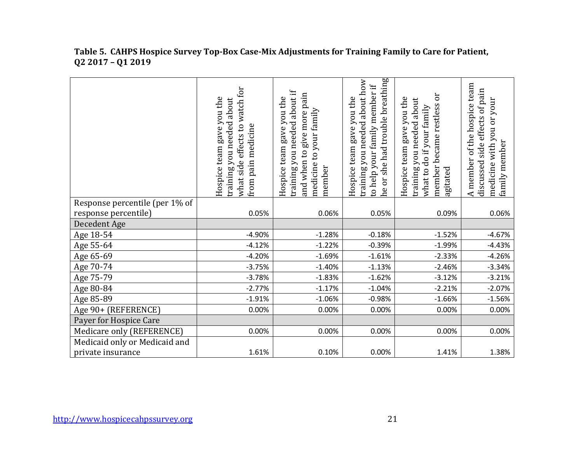|                                | what side effects to watch for<br>Hospice team gave you the<br>training you needed about<br>pain medicine<br>from | training you needed about if<br>and when to give more pain<br>Hospice team gave you the<br>medicine to your family<br>member | he or she had trouble breathing<br>training you needed about how<br>to help your family member if<br>Hospice team gave you the | ör<br>Hospice team gave you the<br>about<br>member became restless<br>what to do if your family<br>you needed<br>training<br>agitated | A member of the hospice team<br>side effects of pain<br>medicine with you or your<br>family member<br>discussed |
|--------------------------------|-------------------------------------------------------------------------------------------------------------------|------------------------------------------------------------------------------------------------------------------------------|--------------------------------------------------------------------------------------------------------------------------------|---------------------------------------------------------------------------------------------------------------------------------------|-----------------------------------------------------------------------------------------------------------------|
| Response percentile (per 1% of |                                                                                                                   |                                                                                                                              |                                                                                                                                |                                                                                                                                       |                                                                                                                 |
| response percentile)           | 0.05%                                                                                                             | 0.06%                                                                                                                        | 0.05%                                                                                                                          | 0.09%                                                                                                                                 | 0.06%                                                                                                           |
| Decedent Age                   |                                                                                                                   |                                                                                                                              |                                                                                                                                |                                                                                                                                       |                                                                                                                 |
| Age 18-54                      | $-4.90%$                                                                                                          | $-1.28%$                                                                                                                     | $-0.18%$                                                                                                                       | $-1.52%$                                                                                                                              | $-4.67%$                                                                                                        |
| Age 55-64                      | $-4.12%$                                                                                                          | $-1.22%$                                                                                                                     | $-0.39%$                                                                                                                       | $-1.99%$                                                                                                                              | $-4.43%$                                                                                                        |
| Age 65-69                      | $-4.20%$                                                                                                          | $-1.69%$                                                                                                                     | $-1.61%$                                                                                                                       | $-2.33%$                                                                                                                              | $-4.26%$                                                                                                        |
| Age 70-74                      | $-3.75%$                                                                                                          | $-1.40%$                                                                                                                     | $-1.13%$                                                                                                                       | $-2.46%$                                                                                                                              | $-3.34%$                                                                                                        |
| Age 75-79                      | $-3.78%$                                                                                                          | $-1.83%$                                                                                                                     | $-1.62%$                                                                                                                       | $-3.12%$                                                                                                                              | $-3.21%$                                                                                                        |
| Age 80-84                      | $-2.77%$                                                                                                          | $-1.17%$                                                                                                                     | $-1.04%$                                                                                                                       | $-2.21%$                                                                                                                              | $-2.07%$                                                                                                        |
| Age 85-89                      | $-1.91%$                                                                                                          | $-1.06%$                                                                                                                     | $-0.98%$                                                                                                                       | $-1.66%$                                                                                                                              | $-1.56%$                                                                                                        |
| Age 90+ (REFERENCE)            | 0.00%                                                                                                             | 0.00%                                                                                                                        | 0.00%                                                                                                                          | 0.00%                                                                                                                                 | 0.00%                                                                                                           |
| Payer for Hospice Care         |                                                                                                                   |                                                                                                                              |                                                                                                                                |                                                                                                                                       |                                                                                                                 |
| Medicare only (REFERENCE)      | 0.00%                                                                                                             | 0.00%                                                                                                                        | 0.00%                                                                                                                          | 0.00%                                                                                                                                 | 0.00%                                                                                                           |
| Medicaid only or Medicaid and  |                                                                                                                   |                                                                                                                              |                                                                                                                                |                                                                                                                                       |                                                                                                                 |
| private insurance              | 1.61%                                                                                                             | 0.10%                                                                                                                        | 0.00%                                                                                                                          | 1.41%                                                                                                                                 | 1.38%                                                                                                           |

#### **Table 5. CAHPS Hospice Survey Top-Box Case-Mix Adjustments for Training Family to Care for Patient, Q2 2017 – Q1 2019**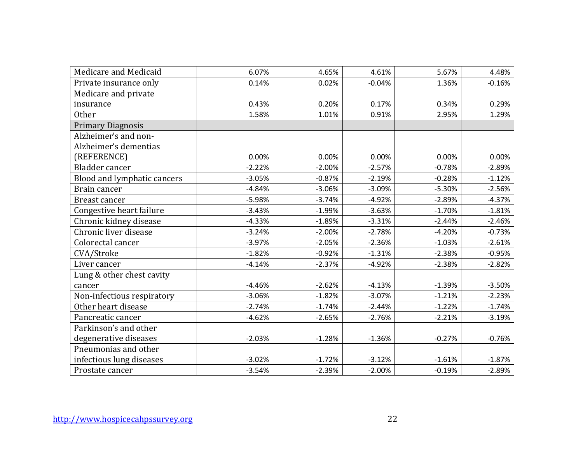| Medicare and Medicaid       | 6.07%    | 4.65%    | 4.61%    | 5.67%    | 4.48%    |
|-----------------------------|----------|----------|----------|----------|----------|
| Private insurance only      | 0.14%    | 0.02%    | $-0.04%$ | 1.36%    | $-0.16%$ |
| Medicare and private        |          |          |          |          |          |
| insurance                   | 0.43%    | 0.20%    | 0.17%    | 0.34%    | 0.29%    |
| <b>Other</b>                | 1.58%    | 1.01%    | 0.91%    | 2.95%    | 1.29%    |
| <b>Primary Diagnosis</b>    |          |          |          |          |          |
| Alzheimer's and non-        |          |          |          |          |          |
| Alzheimer's dementias       |          |          |          |          |          |
| (REFERENCE)                 | 0.00%    | 0.00%    | 0.00%    | 0.00%    | 0.00%    |
| Bladder cancer              | $-2.22%$ | $-2.00%$ | $-2.57%$ | $-0.78%$ | $-2.89%$ |
| Blood and lymphatic cancers | $-3.05%$ | $-0.87%$ | $-2.19%$ | $-0.28%$ | $-1.12%$ |
| Brain cancer                | $-4.84%$ | $-3.06%$ | $-3.09%$ | $-5.30%$ | $-2.56%$ |
| <b>Breast cancer</b>        | $-5.98%$ | $-3.74%$ | $-4.92%$ | $-2.89%$ | $-4.37%$ |
| Congestive heart failure    | $-3.43%$ | $-1.99%$ | $-3.63%$ | $-1.70%$ | $-1.81%$ |
| Chronic kidney disease      | $-4.33%$ | $-1.89%$ | $-3.31%$ | $-2.44%$ | $-2.46%$ |
| Chronic liver disease       | $-3.24%$ | $-2.00%$ | $-2.78%$ | $-4.20%$ | $-0.73%$ |
| Colorectal cancer           | $-3.97%$ | $-2.05%$ | $-2.36%$ | $-1.03%$ | $-2.61%$ |
| CVA/Stroke                  | $-1.82%$ | $-0.92%$ | $-1.31%$ | $-2.38%$ | $-0.95%$ |
| Liver cancer                | $-4.14%$ | $-2.37%$ | $-4.92%$ | $-2.38%$ | $-2.82%$ |
| Lung & other chest cavity   |          |          |          |          |          |
| cancer                      | $-4.46%$ | $-2.62%$ | $-4.13%$ | $-1.39%$ | $-3.50%$ |
| Non-infectious respiratory  | $-3.06%$ | $-1.82%$ | $-3.07%$ | $-1.21%$ | $-2.23%$ |
| Other heart disease         | $-2.74%$ | $-1.74%$ | $-2.44%$ | $-1.22%$ | $-1.74%$ |
| Pancreatic cancer           | $-4.62%$ | $-2.65%$ | $-2.76%$ | $-2.21%$ | $-3.19%$ |
| Parkinson's and other       |          |          |          |          |          |
| degenerative diseases       | $-2.03%$ | $-1.28%$ | $-1.36%$ | $-0.27%$ | $-0.76%$ |
| Pneumonias and other        |          |          |          |          |          |
| infectious lung diseases    | $-3.02%$ | $-1.72%$ | $-3.12%$ | $-1.61%$ | $-1.87%$ |
| Prostate cancer             | $-3.54%$ | $-2.39%$ | $-2.00%$ | $-0.19%$ | $-2.89%$ |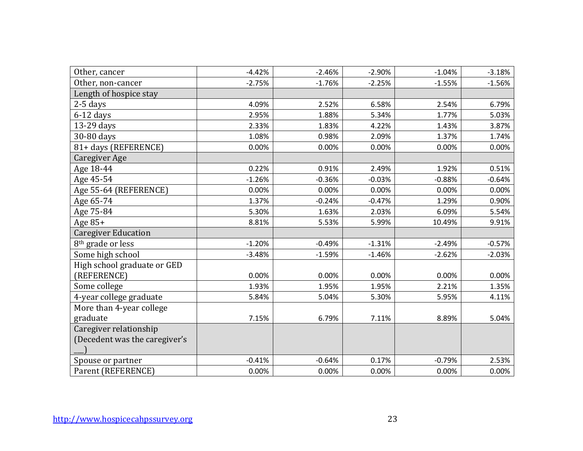| Other, cancer                 | $-4.42%$ | $-2.46%$ | $-2.90%$ | $-1.04%$ | $-3.18%$ |
|-------------------------------|----------|----------|----------|----------|----------|
| Other, non-cancer             | $-2.75%$ | $-1.76%$ | $-2.25%$ | $-1.55%$ | $-1.56%$ |
| Length of hospice stay        |          |          |          |          |          |
| $2-5$ days                    | 4.09%    | 2.52%    | 6.58%    | 2.54%    | 6.79%    |
| $6-12$ days                   | 2.95%    | 1.88%    | 5.34%    | 1.77%    | 5.03%    |
| 13-29 days                    | 2.33%    | 1.83%    | 4.22%    | 1.43%    | 3.87%    |
| 30-80 days                    | 1.08%    | 0.98%    | 2.09%    | 1.37%    | 1.74%    |
| 81+ days (REFERENCE)          | 0.00%    | 0.00%    | 0.00%    | 0.00%    | 0.00%    |
| Caregiver Age                 |          |          |          |          |          |
| Age 18-44                     | 0.22%    | 0.91%    | 2.49%    | 1.92%    | 0.51%    |
| Age 45-54                     | $-1.26%$ | $-0.36%$ | $-0.03%$ | $-0.88%$ | $-0.64%$ |
| Age 55-64 (REFERENCE)         | 0.00%    | 0.00%    | 0.00%    | 0.00%    | 0.00%    |
| Age 65-74                     | 1.37%    | $-0.24%$ | $-0.47%$ | 1.29%    | 0.90%    |
| Age 75-84                     | 5.30%    | 1.63%    | 2.03%    | 6.09%    | 5.54%    |
| Age $85+$                     | 8.81%    | 5.53%    | 5.99%    | 10.49%   | 9.91%    |
| <b>Caregiver Education</b>    |          |          |          |          |          |
| 8 <sup>th</sup> grade or less | $-1.20%$ | $-0.49%$ | $-1.31%$ | $-2.49%$ | $-0.57%$ |
| Some high school              | $-3.48%$ | $-1.59%$ | $-1.46%$ | $-2.62%$ | $-2.03%$ |
| High school graduate or GED   |          |          |          |          |          |
| (REFERENCE)                   | 0.00%    | 0.00%    | 0.00%    | 0.00%    | 0.00%    |
| Some college                  | 1.93%    | 1.95%    | 1.95%    | 2.21%    | 1.35%    |
| 4-year college graduate       | 5.84%    | 5.04%    | 5.30%    | 5.95%    | 4.11%    |
| More than 4-year college      |          |          |          |          |          |
| graduate                      | 7.15%    | 6.79%    | 7.11%    | 8.89%    | 5.04%    |
| Caregiver relationship        |          |          |          |          |          |
| (Decedent was the caregiver's |          |          |          |          |          |
|                               |          |          |          |          |          |
| Spouse or partner             | $-0.41%$ | $-0.64%$ | 0.17%    | $-0.79%$ | 2.53%    |
| Parent (REFERENCE)            | 0.00%    | 0.00%    | 0.00%    | 0.00%    | 0.00%    |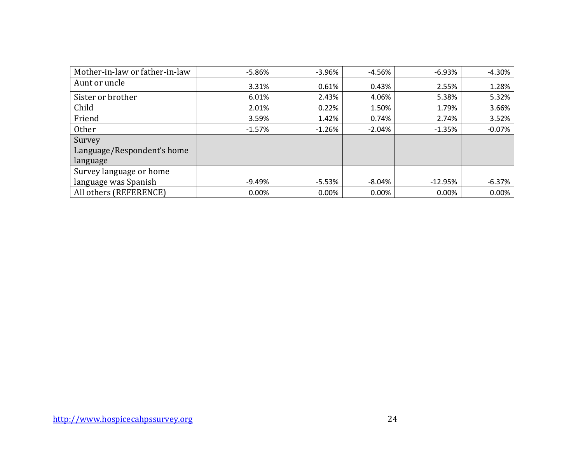| Mother-in-law or father-in-law | $-5.86%$ | $-3.96%$ | $-4.56%$ | $-6.93%$  | $-4.30%$ |
|--------------------------------|----------|----------|----------|-----------|----------|
| Aunt or uncle                  | 3.31%    | 0.61%    | 0.43%    | 2.55%     | 1.28%    |
| Sister or brother              | 6.01%    | 2.43%    | 4.06%    | 5.38%     | 5.32%    |
| Child                          | 2.01%    | 0.22%    | 1.50%    | 1.79%     | 3.66%    |
| Friend                         | 3.59%    | 1.42%    | 0.74%    | 2.74%     | 3.52%    |
| Other                          | $-1.57%$ | $-1.26%$ | $-2.04%$ | $-1.35%$  | $-0.07%$ |
| Survey                         |          |          |          |           |          |
| Language/Respondent's home     |          |          |          |           |          |
| language                       |          |          |          |           |          |
| Survey language or home        |          |          |          |           |          |
| language was Spanish           | -9.49%   | $-5.53%$ | $-8.04%$ | $-12.95%$ | $-6.37%$ |
| All others (REFERENCE)         | $0.00\%$ | 0.00%    | 0.00%    | 0.00%     | 0.00%    |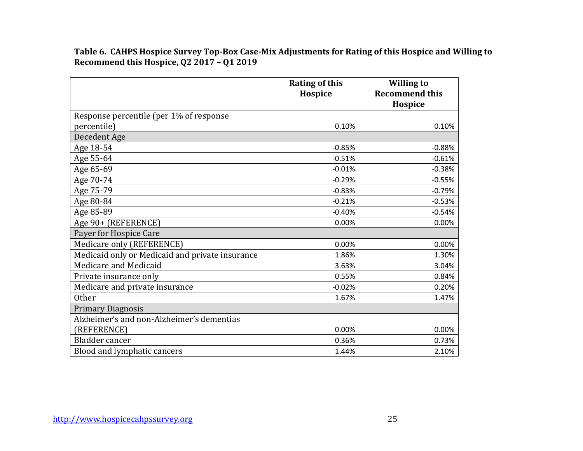**Table 6. CAHPS Hospice Survey Top-Box Case-Mix Adjustments for Rating of this Hospice and Willing to Recommend this Hospice, Q2 2017 – Q1 2019**

|                                                 | <b>Rating of this</b><br>Hospice | <b>Willing to</b><br><b>Recommend this</b><br>Hospice |
|-------------------------------------------------|----------------------------------|-------------------------------------------------------|
| Response percentile (per 1% of response         |                                  |                                                       |
| percentile)                                     | 0.10%                            | 0.10%                                                 |
| Decedent Age                                    |                                  |                                                       |
| Age 18-54                                       | $-0.85%$                         | $-0.88%$                                              |
| Age 55-64                                       | $-0.51%$                         | $-0.61%$                                              |
| Age 65-69                                       | $-0.01%$                         | $-0.38%$                                              |
| Age 70-74                                       | $-0.29%$                         | $-0.55%$                                              |
| Age 75-79                                       | $-0.83%$                         | $-0.79%$                                              |
| Age 80-84                                       | $-0.21%$                         | $-0.53%$                                              |
| Age 85-89                                       | $-0.40%$                         | $-0.54%$                                              |
| Age 90+ (REFERENCE)                             | 0.00%                            | 0.00%                                                 |
| Payer for Hospice Care                          |                                  |                                                       |
| Medicare only (REFERENCE)                       | 0.00%                            | 0.00%                                                 |
| Medicaid only or Medicaid and private insurance | 1.86%                            | 1.30%                                                 |
| Medicare and Medicaid                           | 3.63%                            | 3.04%                                                 |
| Private insurance only                          | 0.55%                            | 0.84%                                                 |
| Medicare and private insurance                  | $-0.02%$                         | 0.20%                                                 |
| <b>Other</b>                                    | 1.67%                            | 1.47%                                                 |
| <b>Primary Diagnosis</b>                        |                                  |                                                       |
| Alzheimer's and non-Alzheimer's dementias       |                                  |                                                       |
| (REFERENCE)                                     | 0.00%                            | 0.00%                                                 |
| Bladder cancer                                  | 0.36%                            | 0.73%                                                 |
| Blood and lymphatic cancers                     | 1.44%                            | 2.10%                                                 |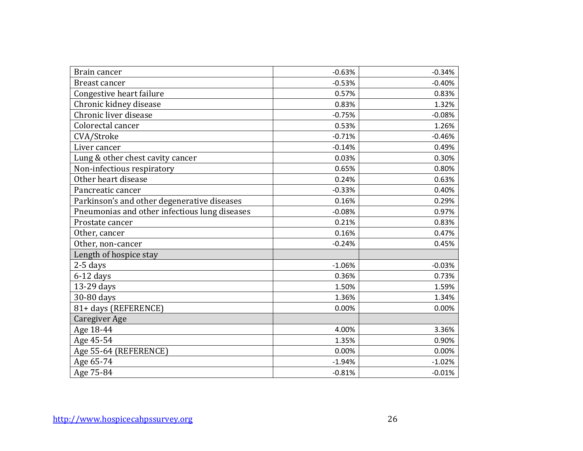| Brain cancer                                  | $-0.63%$ | $-0.34%$ |
|-----------------------------------------------|----------|----------|
| Breast cancer                                 | $-0.53%$ | $-0.40%$ |
| Congestive heart failure                      | 0.57%    | 0.83%    |
| Chronic kidney disease                        | 0.83%    | 1.32%    |
| Chronic liver disease                         | $-0.75%$ | $-0.08%$ |
| Colorectal cancer                             | 0.53%    | 1.26%    |
| CVA/Stroke                                    | $-0.71%$ | $-0.46%$ |
| Liver cancer                                  | $-0.14%$ | 0.49%    |
| Lung & other chest cavity cancer              | 0.03%    | 0.30%    |
| Non-infectious respiratory                    | 0.65%    | 0.80%    |
| Other heart disease                           | 0.24%    | 0.63%    |
| Pancreatic cancer                             | $-0.33%$ | 0.40%    |
| Parkinson's and other degenerative diseases   | 0.16%    | 0.29%    |
| Pneumonias and other infectious lung diseases | $-0.08%$ | 0.97%    |
| Prostate cancer                               | 0.21%    | 0.83%    |
| Other, cancer                                 | 0.16%    | 0.47%    |
| Other, non-cancer                             | $-0.24%$ | 0.45%    |
| Length of hospice stay                        |          |          |
| $2-5$ days                                    | $-1.06%$ | $-0.03%$ |
| $6-12$ days                                   | 0.36%    | 0.73%    |
| 13-29 days                                    | 1.50%    | 1.59%    |
| 30-80 days                                    | 1.36%    | 1.34%    |
| 81+ days (REFERENCE)                          | 0.00%    | 0.00%    |
| Caregiver Age                                 |          |          |
| Age 18-44                                     | 4.00%    | 3.36%    |
| Age 45-54                                     | 1.35%    | 0.90%    |
| Age 55-64 (REFERENCE)                         | 0.00%    | 0.00%    |
| Age 65-74                                     | $-1.94%$ | $-1.02%$ |
| Age 75-84                                     | $-0.81%$ | $-0.01%$ |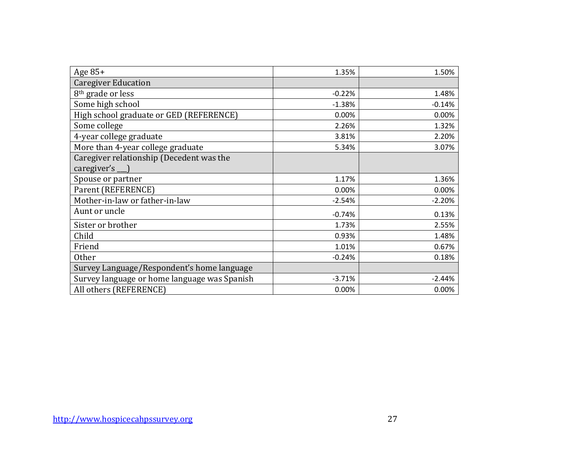| Age $85+$                                    | 1.35%    | 1.50%    |
|----------------------------------------------|----------|----------|
| <b>Caregiver Education</b>                   |          |          |
| 8 <sup>th</sup> grade or less                | $-0.22%$ | 1.48%    |
| Some high school                             | $-1.38%$ | $-0.14%$ |
| High school graduate or GED (REFERENCE)      | 0.00%    | 0.00%    |
| Some college                                 | 2.26%    | 1.32%    |
| 4-year college graduate                      | 3.81%    | 2.20%    |
| More than 4-year college graduate            | 5.34%    | 3.07%    |
| Caregiver relationship (Decedent was the     |          |          |
| caregiver's __ )                             |          |          |
| Spouse or partner                            | 1.17%    | 1.36%    |
| Parent (REFERENCE)                           | 0.00%    | 0.00%    |
| Mother-in-law or father-in-law               | $-2.54%$ | $-2.20%$ |
| Aunt or uncle                                | $-0.74%$ | 0.13%    |
| Sister or brother                            | 1.73%    | 2.55%    |
| Child                                        | 0.93%    | 1.48%    |
| Friend                                       | 1.01%    | 0.67%    |
| <b>Other</b>                                 | $-0.24%$ | 0.18%    |
| Survey Language/Respondent's home language   |          |          |
| Survey language or home language was Spanish | $-3.71%$ | $-2.44%$ |
| All others (REFERENCE)                       | 0.00%    | 0.00%    |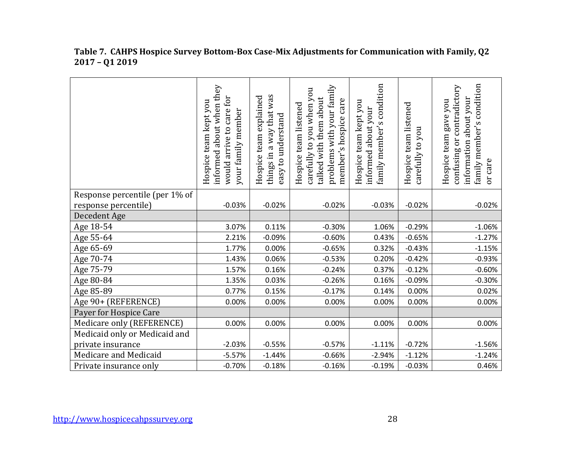|                                | informed about when they<br>would arrive to care for<br>Hospice team kept you<br>your family member | way that was<br>team explained<br>easy to understand<br>things in a<br>Hospice | problems with your family<br>carefully to you when you<br>talked with them about<br>member's hospice care<br>Hospice team listened | family member's condition<br>Hospice team kept you<br>about your<br>informed | Hospice team listened<br>you<br>carefully to | family member's condition<br>confusing or contradictory<br>about your<br>Hospice team gave you<br>information<br>or care |
|--------------------------------|-----------------------------------------------------------------------------------------------------|--------------------------------------------------------------------------------|------------------------------------------------------------------------------------------------------------------------------------|------------------------------------------------------------------------------|----------------------------------------------|--------------------------------------------------------------------------------------------------------------------------|
| Response percentile (per 1% of |                                                                                                     |                                                                                |                                                                                                                                    |                                                                              |                                              |                                                                                                                          |
| response percentile)           | $-0.03%$                                                                                            | $-0.02%$                                                                       | $-0.02%$                                                                                                                           | $-0.03%$                                                                     | $-0.02%$                                     | $-0.02%$                                                                                                                 |
| Decedent Age                   |                                                                                                     |                                                                                |                                                                                                                                    |                                                                              |                                              |                                                                                                                          |
| Age 18-54                      | 3.07%                                                                                               | 0.11%                                                                          | $-0.30%$                                                                                                                           | 1.06%                                                                        | $-0.29%$                                     | $-1.06%$                                                                                                                 |
| Age 55-64                      | 2.21%                                                                                               | $-0.09%$                                                                       | $-0.60%$                                                                                                                           | 0.43%                                                                        | $-0.65%$                                     | $-1.27%$                                                                                                                 |
| Age 65-69                      | 1.77%                                                                                               | 0.00%                                                                          | $-0.65%$                                                                                                                           | 0.32%                                                                        | $-0.43%$                                     | $-1.15%$                                                                                                                 |
| Age 70-74                      | 1.43%                                                                                               | 0.06%                                                                          | $-0.53%$                                                                                                                           | 0.20%                                                                        | $-0.42%$                                     | $-0.93%$                                                                                                                 |
| Age 75-79                      | 1.57%                                                                                               | 0.16%                                                                          | $-0.24%$                                                                                                                           | 0.37%                                                                        | $-0.12%$                                     | $-0.60%$                                                                                                                 |
| Age 80-84                      | 1.35%                                                                                               | 0.03%                                                                          | $-0.26%$                                                                                                                           | 0.16%                                                                        | $-0.09%$                                     | $-0.30%$                                                                                                                 |
| Age 85-89                      | 0.77%                                                                                               | 0.15%                                                                          | $-0.17%$                                                                                                                           | 0.14%                                                                        | 0.00%                                        | 0.02%                                                                                                                    |
| Age 90+ (REFERENCE)            | 0.00%                                                                                               | 0.00%                                                                          | 0.00%                                                                                                                              | 0.00%                                                                        | 0.00%                                        | 0.00%                                                                                                                    |
| Payer for Hospice Care         |                                                                                                     |                                                                                |                                                                                                                                    |                                                                              |                                              |                                                                                                                          |
| Medicare only (REFERENCE)      | 0.00%                                                                                               | 0.00%                                                                          | 0.00%                                                                                                                              | 0.00%                                                                        | 0.00%                                        | 0.00%                                                                                                                    |
| Medicaid only or Medicaid and  |                                                                                                     |                                                                                |                                                                                                                                    |                                                                              |                                              |                                                                                                                          |
| private insurance              | $-2.03%$                                                                                            | $-0.55%$                                                                       | $-0.57%$                                                                                                                           | $-1.11%$                                                                     | $-0.72%$                                     | $-1.56%$                                                                                                                 |
| Medicare and Medicaid          | $-5.57%$                                                                                            | $-1.44%$                                                                       | $-0.66%$                                                                                                                           | $-2.94%$                                                                     | $-1.12%$                                     | $-1.24%$                                                                                                                 |
| Private insurance only         | $-0.70%$                                                                                            | $-0.18%$                                                                       | $-0.16%$                                                                                                                           | $-0.19%$                                                                     | $-0.03%$                                     | 0.46%                                                                                                                    |

#### **Table 7. CAHPS Hospice Survey Bottom-Box Case-Mix Adjustments for Communication with Family, Q2 2017 – Q1 2019**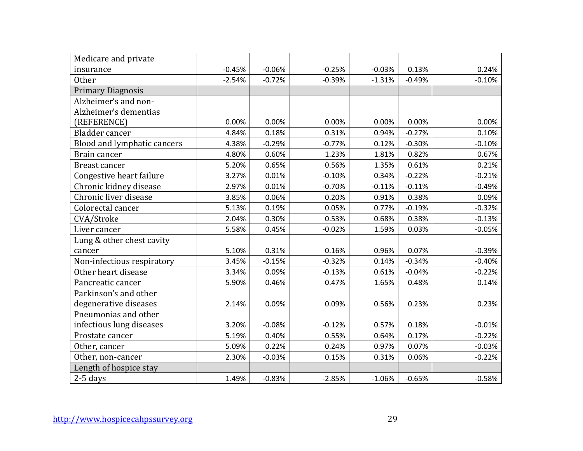| Medicare and private        |          |          |          |          |          |          |
|-----------------------------|----------|----------|----------|----------|----------|----------|
| insurance                   | $-0.45%$ | $-0.06%$ | $-0.25%$ | $-0.03%$ | 0.13%    | 0.24%    |
| <b>Other</b>                | $-2.54%$ | $-0.72%$ | $-0.39%$ | $-1.31%$ | $-0.49%$ | $-0.10%$ |
| <b>Primary Diagnosis</b>    |          |          |          |          |          |          |
| Alzheimer's and non-        |          |          |          |          |          |          |
| Alzheimer's dementias       |          |          |          |          |          |          |
| (REFERENCE)                 | 0.00%    | 0.00%    | 0.00%    | 0.00%    | 0.00%    | 0.00%    |
| Bladder cancer              | 4.84%    | 0.18%    | 0.31%    | 0.94%    | $-0.27%$ | 0.10%    |
| Blood and lymphatic cancers | 4.38%    | $-0.29%$ | $-0.77%$ | 0.12%    | $-0.30%$ | $-0.10%$ |
| Brain cancer                | 4.80%    | 0.60%    | 1.23%    | 1.81%    | 0.82%    | 0.67%    |
| Breast cancer               | 5.20%    | 0.65%    | 0.56%    | 1.35%    | 0.61%    | 0.21%    |
| Congestive heart failure    | 3.27%    | 0.01%    | $-0.10%$ | 0.34%    | $-0.22%$ | $-0.21%$ |
| Chronic kidney disease      | 2.97%    | 0.01%    | $-0.70%$ | $-0.11%$ | $-0.11%$ | $-0.49%$ |
| Chronic liver disease       | 3.85%    | 0.06%    | 0.20%    | 0.91%    | 0.38%    | 0.09%    |
| Colorectal cancer           | 5.13%    | 0.19%    | 0.05%    | 0.77%    | $-0.19%$ | $-0.32%$ |
| CVA/Stroke                  | 2.04%    | 0.30%    | 0.53%    | 0.68%    | 0.38%    | $-0.13%$ |
| Liver cancer                | 5.58%    | 0.45%    | $-0.02%$ | 1.59%    | 0.03%    | $-0.05%$ |
| Lung & other chest cavity   |          |          |          |          |          |          |
| cancer                      | 5.10%    | 0.31%    | 0.16%    | 0.96%    | 0.07%    | $-0.39%$ |
| Non-infectious respiratory  | 3.45%    | $-0.15%$ | $-0.32%$ | 0.14%    | $-0.34%$ | $-0.40%$ |
| Other heart disease         | 3.34%    | 0.09%    | $-0.13%$ | 0.61%    | $-0.04%$ | $-0.22%$ |
| Pancreatic cancer           | 5.90%    | 0.46%    | 0.47%    | 1.65%    | 0.48%    | 0.14%    |
| Parkinson's and other       |          |          |          |          |          |          |
| degenerative diseases       | 2.14%    | 0.09%    | 0.09%    | 0.56%    | 0.23%    | 0.23%    |
| Pneumonias and other        |          |          |          |          |          |          |
| infectious lung diseases    | 3.20%    | $-0.08%$ | $-0.12%$ | 0.57%    | 0.18%    | $-0.01%$ |
| Prostate cancer             | 5.19%    | 0.40%    | 0.55%    | 0.64%    | 0.17%    | $-0.22%$ |
| Other, cancer               | 5.09%    | 0.22%    | 0.24%    | 0.97%    | 0.07%    | $-0.03%$ |
| Other, non-cancer           | 2.30%    | $-0.03%$ | 0.15%    | 0.31%    | 0.06%    | $-0.22%$ |
| Length of hospice stay      |          |          |          |          |          |          |
| $2-5$ days                  | 1.49%    | $-0.83%$ | $-2.85%$ | $-1.06%$ | $-0.65%$ | $-0.58%$ |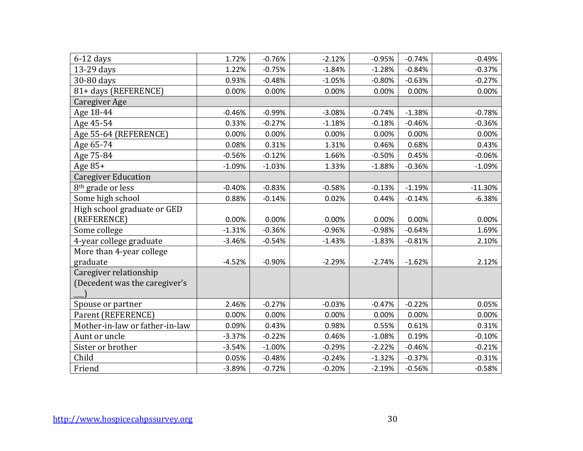| $6-12$ days                    | 1.72%    | $-0.76%$ | $-2.12%$ | $-0.95%$ | $-0.74%$ | $-0.49%$  |
|--------------------------------|----------|----------|----------|----------|----------|-----------|
| 13-29 days                     | 1.22%    | $-0.75%$ | $-1.84%$ | $-1.28%$ | $-0.84%$ | $-0.37%$  |
| 30-80 days                     | 0.93%    | $-0.48%$ | $-1.05%$ | $-0.80%$ | $-0.63%$ | $-0.27%$  |
| 81+ days (REFERENCE)           | 0.00%    | 0.00%    | 0.00%    | 0.00%    | 0.00%    | 0.00%     |
| <b>Caregiver Age</b>           |          |          |          |          |          |           |
| Age 18-44                      | $-0.46%$ | $-0.99%$ | $-3.08%$ | $-0.74%$ | $-1.38%$ | $-0.78%$  |
| Age 45-54                      | 0.33%    | $-0.27%$ | $-1.18%$ | $-0.18%$ | $-0.46%$ | $-0.36%$  |
| Age 55-64 (REFERENCE)          | 0.00%    | 0.00%    | 0.00%    | 0.00%    | 0.00%    | 0.00%     |
| Age 65-74                      | 0.08%    | 0.31%    | 1.31%    | 0.46%    | 0.68%    | 0.43%     |
| Age 75-84                      | $-0.56%$ | $-0.12%$ | 1.66%    | $-0.50%$ | 0.45%    | $-0.06%$  |
| Age 85+                        | $-1.09%$ | $-1.03%$ | 1.33%    | $-1.88%$ | $-0.36%$ | $-1.09%$  |
| <b>Caregiver Education</b>     |          |          |          |          |          |           |
| 8 <sup>th</sup> grade or less  | $-0.40%$ | $-0.83%$ | $-0.58%$ | $-0.13%$ | $-1.19%$ | $-11.30%$ |
| Some high school               | 0.88%    | $-0.14%$ | 0.02%    | 0.44%    | $-0.14%$ | $-6.38%$  |
| High school graduate or GED    |          |          |          |          |          |           |
| (REFERENCE)                    | 0.00%    | 0.00%    | 0.00%    | 0.00%    | 0.00%    | 0.00%     |
| Some college                   | $-1.31%$ | $-0.36%$ | $-0.96%$ | $-0.98%$ | $-0.64%$ | 1.69%     |
| 4-year college graduate        | $-3.46%$ | $-0.54%$ | $-1.43%$ | $-1.83%$ | $-0.81%$ | 2.10%     |
| More than 4-year college       |          |          |          |          |          |           |
| graduate                       | $-4.52%$ | $-0.90%$ | $-2.29%$ | $-2.74%$ | $-1.62%$ | 2.12%     |
| Caregiver relationship         |          |          |          |          |          |           |
| (Decedent was the caregiver's  |          |          |          |          |          |           |
| Spouse or partner              | 2.46%    | $-0.27%$ | $-0.03%$ | $-0.47%$ | $-0.22%$ | 0.05%     |
| Parent (REFERENCE)             | 0.00%    | 0.00%    | 0.00%    | 0.00%    | 0.00%    | 0.00%     |
| Mother-in-law or father-in-law | 0.09%    | 0.43%    | 0.98%    | 0.55%    | 0.61%    | 0.31%     |
| Aunt or uncle                  | $-3.37%$ | $-0.22%$ | 0.46%    | $-1.08%$ | 0.19%    | $-0.10%$  |
| Sister or brother              | $-3.54%$ | $-1.00%$ | $-0.29%$ | $-2.22%$ | $-0.46%$ | $-0.21%$  |
| Child                          | 0.05%    | $-0.48%$ | $-0.24%$ | $-1.32%$ | $-0.37%$ | $-0.31%$  |
|                                | $-3.89%$ | $-0.72%$ | $-0.20%$ | $-2.19%$ | $-0.56%$ | $-0.58%$  |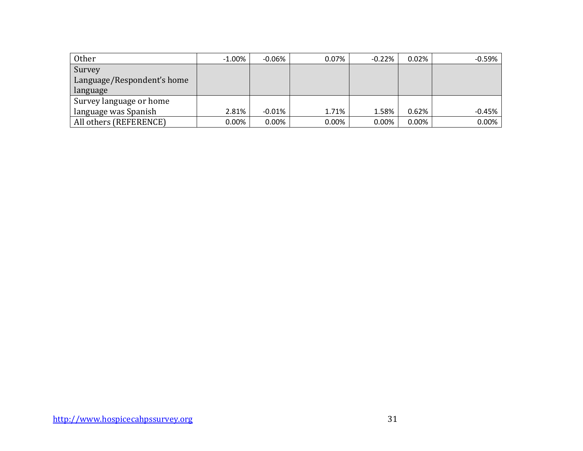| Other                      | $-1.00\%$ | $-0.06\%$ | 0.07% | $-0.22%$ | 0.02%    | $-0.59%$ |
|----------------------------|-----------|-----------|-------|----------|----------|----------|
| Survey                     |           |           |       |          |          |          |
| Language/Respondent's home |           |           |       |          |          |          |
| language                   |           |           |       |          |          |          |
| Survey language or home    |           |           |       |          |          |          |
| language was Spanish       | 2.81%     | $-0.01\%$ | 1.71% | 1.58%    | 0.62%    | $-0.45%$ |
| All others (REFERENCE)     | $0.00\%$  | $0.00\%$  | 0.00% | 0.00%    | $0.00\%$ | 0.00%    |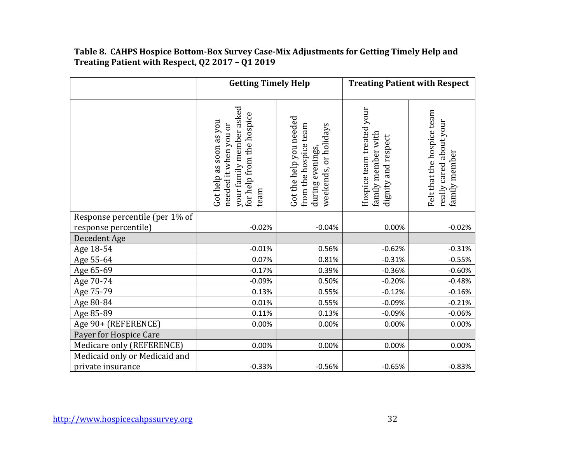# **Table 8. CAHPS Hospice Bottom-Box Survey Case-Mix Adjustments for Getting Timely Help and Treating Patient with Respect, Q2 2017 – Q1 2019**

|                                               | <b>Getting Timely Help</b>                                                                                        |                                                                                               | <b>Treating Patient with Respect</b>                                   |                                                                        |  |
|-----------------------------------------------|-------------------------------------------------------------------------------------------------------------------|-----------------------------------------------------------------------------------------------|------------------------------------------------------------------------|------------------------------------------------------------------------|--|
|                                               | your family member asked<br>for help from the hospice<br>Got help as soon as you<br>needed it when you or<br>team | Got the help you needed<br>from the hospice team<br>weekends, or holidays<br>during evenings, | Hospice team treated your<br>family member with<br>dignity and respect | Felt that the hospice team<br>really cared about your<br>family member |  |
| Response percentile (per 1% of                |                                                                                                                   |                                                                                               |                                                                        |                                                                        |  |
| response percentile)                          | $-0.02%$                                                                                                          | $-0.04%$                                                                                      | 0.00%                                                                  | $-0.02%$                                                               |  |
| Decedent Age                                  |                                                                                                                   |                                                                                               |                                                                        |                                                                        |  |
| Age 18-54                                     | $-0.01%$                                                                                                          | 0.56%                                                                                         | $-0.62%$                                                               | $-0.31%$                                                               |  |
| Age 55-64                                     | 0.07%                                                                                                             | 0.81%                                                                                         | $-0.31%$                                                               | $-0.55%$                                                               |  |
| Age 65-69                                     | $-0.17%$                                                                                                          | 0.39%                                                                                         | $-0.36%$                                                               | $-0.60%$                                                               |  |
| Age 70-74                                     | $-0.09%$                                                                                                          | 0.50%                                                                                         | $-0.20%$                                                               | $-0.48%$                                                               |  |
| Age 75-79                                     | 0.13%                                                                                                             | 0.55%                                                                                         | $-0.12%$<br>$-0.09%$                                                   | $-0.16%$<br>$-0.21%$                                                   |  |
| Age 80-84                                     | 0.01%<br>0.11%                                                                                                    | 0.55%<br>0.13%                                                                                | $-0.09%$                                                               | $-0.06%$                                                               |  |
| Age 85-89                                     | 0.00%                                                                                                             | 0.00%                                                                                         | 0.00%                                                                  | 0.00%                                                                  |  |
| Age 90+ (REFERENCE)<br>Payer for Hospice Care |                                                                                                                   |                                                                                               |                                                                        |                                                                        |  |
| Medicare only (REFERENCE)                     | 0.00%                                                                                                             | 0.00%                                                                                         | 0.00%                                                                  | 0.00%                                                                  |  |
| Medicaid only or Medicaid and                 |                                                                                                                   |                                                                                               |                                                                        |                                                                        |  |
| private insurance                             | $-0.33%$                                                                                                          | $-0.56%$                                                                                      | $-0.65%$                                                               | $-0.83%$                                                               |  |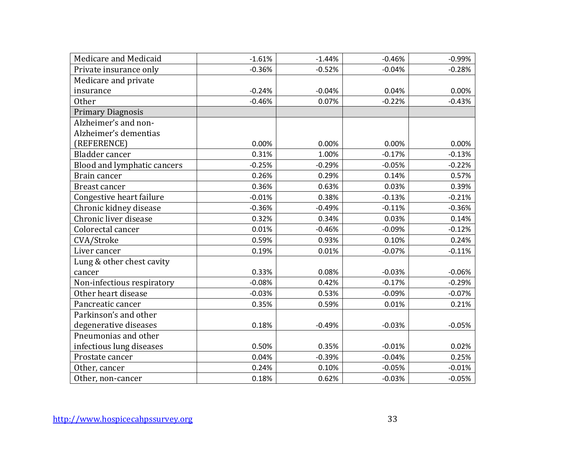| Medicare and Medicaid       | $-1.61%$ | $-1.44%$ | $-0.46%$ | $-0.99%$ |
|-----------------------------|----------|----------|----------|----------|
| Private insurance only      | $-0.36%$ | $-0.52%$ | $-0.04%$ | $-0.28%$ |
| Medicare and private        |          |          |          |          |
| insurance                   | $-0.24%$ | $-0.04%$ | 0.04%    | 0.00%    |
| <b>Other</b>                | $-0.46%$ | 0.07%    | $-0.22%$ | $-0.43%$ |
| <b>Primary Diagnosis</b>    |          |          |          |          |
| Alzheimer's and non-        |          |          |          |          |
| Alzheimer's dementias       |          |          |          |          |
| (REFERENCE)                 | 0.00%    | 0.00%    | 0.00%    | 0.00%    |
| Bladder cancer              | 0.31%    | 1.00%    | $-0.17%$ | $-0.13%$ |
| Blood and lymphatic cancers | $-0.25%$ | $-0.29%$ | $-0.05%$ | $-0.22%$ |
| Brain cancer                | 0.26%    | 0.29%    | 0.14%    | 0.57%    |
| <b>Breast cancer</b>        | 0.36%    | 0.63%    | 0.03%    | 0.39%    |
| Congestive heart failure    | $-0.01%$ | 0.38%    | $-0.13%$ | $-0.21%$ |
| Chronic kidney disease      | $-0.36%$ | $-0.49%$ | $-0.11%$ | $-0.36%$ |
| Chronic liver disease       | 0.32%    | 0.34%    | 0.03%    | 0.14%    |
| Colorectal cancer           | 0.01%    | $-0.46%$ | $-0.09%$ | $-0.12%$ |
| CVA/Stroke                  | 0.59%    | 0.93%    | 0.10%    | 0.24%    |
| Liver cancer                | 0.19%    | 0.01%    | $-0.07%$ | $-0.11%$ |
| Lung & other chest cavity   |          |          |          |          |
| cancer                      | 0.33%    | 0.08%    | $-0.03%$ | $-0.06%$ |
| Non-infectious respiratory  | $-0.08%$ | 0.42%    | $-0.17%$ | $-0.29%$ |
| Other heart disease         | $-0.03%$ | 0.53%    | $-0.09%$ | $-0.07%$ |
| Pancreatic cancer           | 0.35%    | 0.59%    | 0.01%    | 0.21%    |
| Parkinson's and other       |          |          |          |          |
| degenerative diseases       | 0.18%    | $-0.49%$ | $-0.03%$ | $-0.05%$ |
| Pneumonias and other        |          |          |          |          |
| infectious lung diseases    | 0.50%    | 0.35%    | $-0.01%$ | 0.02%    |
| Prostate cancer             | 0.04%    | $-0.39%$ | $-0.04%$ | 0.25%    |
| Other, cancer               | 0.24%    | 0.10%    | $-0.05%$ | $-0.01%$ |
| Other, non-cancer           | 0.18%    | 0.62%    | $-0.03%$ | $-0.05%$ |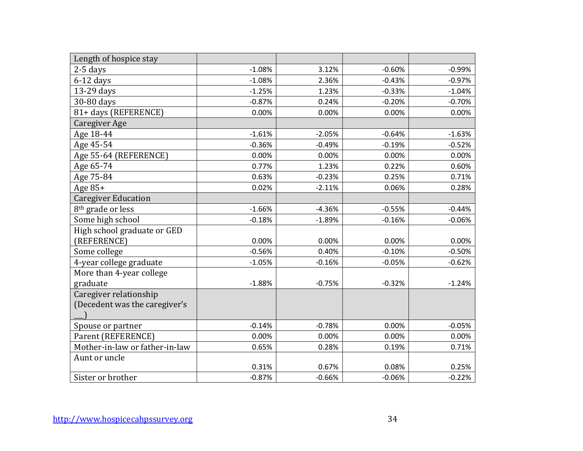| Length of hospice stay         |          |          |          |          |
|--------------------------------|----------|----------|----------|----------|
| $2-5$ days                     | $-1.08%$ | 3.12%    | $-0.60%$ | $-0.99%$ |
| $6-12$ days                    | $-1.08%$ | 2.36%    | $-0.43%$ | $-0.97%$ |
| 13-29 days                     | $-1.25%$ | 1.23%    | $-0.33%$ | $-1.04%$ |
| 30-80 days                     | $-0.87%$ | 0.24%    | $-0.20%$ | $-0.70%$ |
| 81+ days (REFERENCE)           | 0.00%    | 0.00%    | 0.00%    | 0.00%    |
| Caregiver Age                  |          |          |          |          |
| Age 18-44                      | $-1.61%$ | $-2.05%$ | $-0.64%$ | $-1.63%$ |
| Age 45-54                      | $-0.36%$ | $-0.49%$ | $-0.19%$ | $-0.52%$ |
| Age 55-64 (REFERENCE)          | 0.00%    | 0.00%    | 0.00%    | 0.00%    |
| Age 65-74                      | 0.77%    | 1.23%    | 0.22%    | 0.60%    |
| Age 75-84                      | 0.63%    | $-0.23%$ | 0.25%    | 0.71%    |
| Age 85+                        | 0.02%    | $-2.11%$ | 0.06%    | 0.28%    |
| <b>Caregiver Education</b>     |          |          |          |          |
| 8 <sup>th</sup> grade or less  | $-1.66%$ | $-4.36%$ | $-0.55%$ | $-0.44%$ |
| Some high school               | $-0.18%$ | $-1.89%$ | $-0.16%$ | $-0.06%$ |
| High school graduate or GED    |          |          |          |          |
| (REFERENCE)                    | 0.00%    | 0.00%    | 0.00%    | 0.00%    |
| Some college                   | $-0.56%$ | 0.40%    | $-0.10%$ | $-0.50%$ |
| 4-year college graduate        | $-1.05%$ | $-0.16%$ | $-0.05%$ | $-0.62%$ |
| More than 4-year college       |          |          |          |          |
| graduate                       | $-1.88%$ | $-0.75%$ | $-0.32%$ | $-1.24%$ |
| Caregiver relationship         |          |          |          |          |
| (Decedent was the caregiver's  |          |          |          |          |
|                                |          |          |          |          |
| Spouse or partner              | $-0.14%$ | $-0.78%$ | 0.00%    | $-0.05%$ |
| Parent (REFERENCE)             | 0.00%    | 0.00%    | 0.00%    | 0.00%    |
| Mother-in-law or father-in-law | 0.65%    | 0.28%    | 0.19%    | 0.71%    |
| Aunt or uncle                  |          |          |          |          |
|                                | 0.31%    | 0.67%    | 0.08%    | 0.25%    |
| Sister or brother              | $-0.87%$ | $-0.66%$ | $-0.06%$ | $-0.22%$ |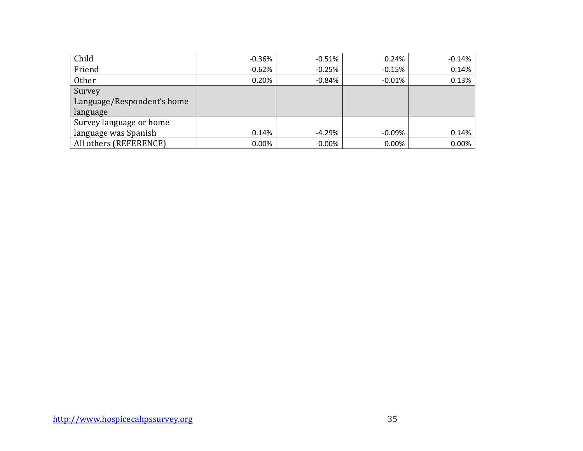| Child                      | $-0.36\%$ | $-0.51%$  | 0.24%     | $-0.14%$ |
|----------------------------|-----------|-----------|-----------|----------|
| Friend                     | $-0.62\%$ | $-0.25%$  | $-0.15%$  | 0.14%    |
| <b>Other</b>               | 0.20%     | $-0.84\%$ | $-0.01\%$ | 0.13%    |
| Survey                     |           |           |           |          |
| Language/Respondent's home |           |           |           |          |
| language                   |           |           |           |          |
| Survey language or home    |           |           |           |          |
| language was Spanish       | 0.14%     | $-4.29%$  | $-0.09%$  | 0.14%    |
| All others (REFERENCE)     | $0.00\%$  | 0.00%     | 0.00%     | 0.00%    |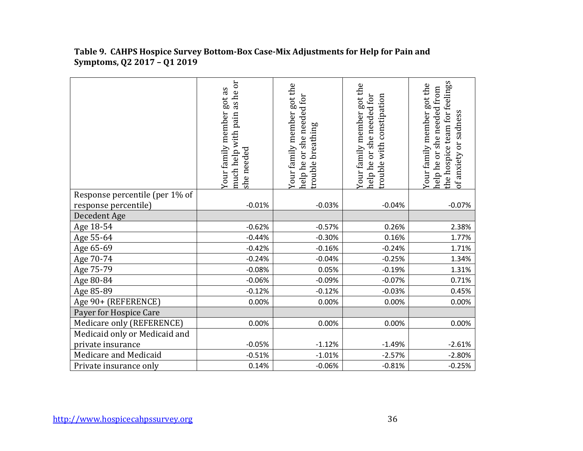|                                | as he or<br>Your family member got as<br>much help with pain<br>she needed | Your family member got the<br>she needed for<br>trouble breathing<br>help he or | Your family member got the<br>help he or she needed for<br>rouble with constipation | the hospice team for feelings<br>Your family member got the<br>help he or she needed from<br>of anxiety or sadness |
|--------------------------------|----------------------------------------------------------------------------|---------------------------------------------------------------------------------|-------------------------------------------------------------------------------------|--------------------------------------------------------------------------------------------------------------------|
| Response percentile (per 1% of |                                                                            |                                                                                 |                                                                                     |                                                                                                                    |
| response percentile)           | $-0.01%$                                                                   | $-0.03%$                                                                        | $-0.04%$                                                                            | $-0.07%$                                                                                                           |
| Decedent Age                   |                                                                            |                                                                                 |                                                                                     |                                                                                                                    |
| Age 18-54                      | $-0.62%$                                                                   | $-0.57%$                                                                        | 0.26%                                                                               | 2.38%                                                                                                              |
| Age 55-64                      | $-0.44%$                                                                   | $-0.30%$                                                                        | 0.16%                                                                               | 1.77%                                                                                                              |
| Age 65-69                      | $-0.42%$                                                                   | $-0.16%$                                                                        | $-0.24%$                                                                            | 1.71%                                                                                                              |
| Age 70-74                      | $-0.24%$                                                                   | $-0.04%$                                                                        | $-0.25%$                                                                            | 1.34%                                                                                                              |
| Age 75-79                      | $-0.08%$                                                                   | 0.05%                                                                           | $-0.19%$                                                                            | 1.31%                                                                                                              |
| Age 80-84                      | $-0.06%$                                                                   | $-0.09%$                                                                        | $-0.07%$                                                                            | 0.71%                                                                                                              |
| Age 85-89                      | $-0.12%$                                                                   | $-0.12%$                                                                        | $-0.03%$                                                                            | 0.45%                                                                                                              |
| Age 90+ (REFERENCE)            | 0.00%                                                                      | 0.00%                                                                           | 0.00%                                                                               | 0.00%                                                                                                              |
| Payer for Hospice Care         |                                                                            |                                                                                 |                                                                                     |                                                                                                                    |
| Medicare only (REFERENCE)      | 0.00%                                                                      | 0.00%                                                                           | 0.00%                                                                               | 0.00%                                                                                                              |
| Medicaid only or Medicaid and  |                                                                            |                                                                                 |                                                                                     |                                                                                                                    |
| private insurance              | $-0.05%$                                                                   | $-1.12%$                                                                        | $-1.49%$                                                                            | $-2.61%$                                                                                                           |
| Medicare and Medicaid          | $-0.51%$                                                                   | $-1.01%$                                                                        | $-2.57%$                                                                            | $-2.80%$                                                                                                           |
| Private insurance only         | 0.14%                                                                      | $-0.06%$                                                                        | $-0.81%$                                                                            | $-0.25%$                                                                                                           |

# **Table 9. CAHPS Hospice Survey Bottom-Box Case-Mix Adjustments for Help for Pain and Symptoms, Q2 2017 – Q1 2019**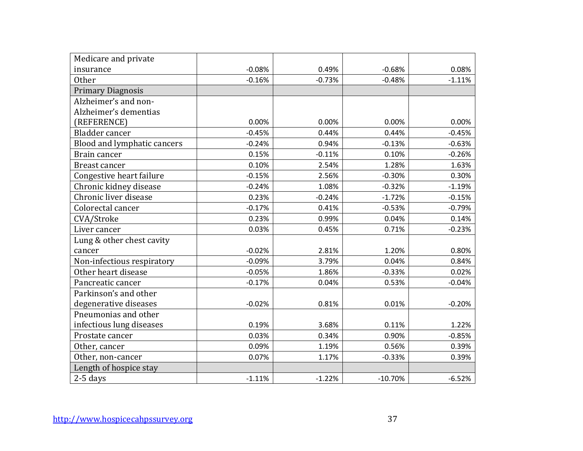| Medicare and private        |          |          |           |          |
|-----------------------------|----------|----------|-----------|----------|
| insurance                   | $-0.08%$ | 0.49%    | $-0.68%$  | 0.08%    |
| <b>Other</b>                | $-0.16%$ | $-0.73%$ | $-0.48%$  | $-1.11%$ |
| <b>Primary Diagnosis</b>    |          |          |           |          |
| Alzheimer's and non-        |          |          |           |          |
| Alzheimer's dementias       |          |          |           |          |
| (REFERENCE)                 | 0.00%    | 0.00%    | 0.00%     | 0.00%    |
| Bladder cancer              | $-0.45%$ | 0.44%    | 0.44%     | $-0.45%$ |
| Blood and lymphatic cancers | $-0.24%$ | 0.94%    | $-0.13%$  | $-0.63%$ |
| Brain cancer                | 0.15%    | $-0.11%$ | 0.10%     | $-0.26%$ |
| Breast cancer               | 0.10%    | 2.54%    | 1.28%     | 1.63%    |
| Congestive heart failure    | $-0.15%$ | 2.56%    | $-0.30%$  | 0.30%    |
| Chronic kidney disease      | $-0.24%$ | 1.08%    | $-0.32%$  | $-1.19%$ |
| Chronic liver disease       | 0.23%    | $-0.24%$ | $-1.72%$  | $-0.15%$ |
| Colorectal cancer           | $-0.17%$ | 0.41%    | $-0.53%$  | $-0.79%$ |
| CVA/Stroke                  | 0.23%    | 0.99%    | 0.04%     | 0.14%    |
| Liver cancer                | 0.03%    | 0.45%    | 0.71%     | $-0.23%$ |
| Lung & other chest cavity   |          |          |           |          |
| cancer                      | $-0.02%$ | 2.81%    | 1.20%     | 0.80%    |
| Non-infectious respiratory  | $-0.09%$ | 3.79%    | 0.04%     | 0.84%    |
| Other heart disease         | $-0.05%$ | 1.86%    | $-0.33%$  | 0.02%    |
| Pancreatic cancer           | $-0.17%$ | 0.04%    | 0.53%     | $-0.04%$ |
| Parkinson's and other       |          |          |           |          |
| degenerative diseases       | $-0.02%$ | 0.81%    | 0.01%     | $-0.20%$ |
| Pneumonias and other        |          |          |           |          |
| infectious lung diseases    | 0.19%    | 3.68%    | 0.11%     | 1.22%    |
| Prostate cancer             | 0.03%    | 0.34%    | 0.90%     | $-0.85%$ |
| Other, cancer               | 0.09%    | 1.19%    | 0.56%     | 0.39%    |
| Other, non-cancer           | 0.07%    | 1.17%    | $-0.33%$  | 0.39%    |
| Length of hospice stay      |          |          |           |          |
| $2-5$ days                  | $-1.11%$ | $-1.22%$ | $-10.70%$ | $-6.52%$ |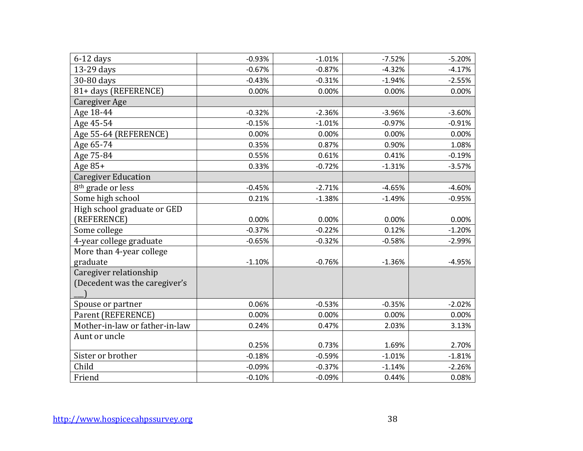| $6-12$ days                    | $-0.93%$ | $-1.01%$ | $-7.52%$ | $-5.20%$ |
|--------------------------------|----------|----------|----------|----------|
| 13-29 days                     | $-0.67%$ | $-0.87%$ | $-4.32%$ | $-4.17%$ |
| 30-80 days                     | $-0.43%$ | $-0.31%$ | $-1.94%$ | $-2.55%$ |
| 81+ days (REFERENCE)           | 0.00%    | 0.00%    | 0.00%    | 0.00%    |
| Caregiver Age                  |          |          |          |          |
| Age 18-44                      | $-0.32%$ | $-2.36%$ | $-3.96%$ | $-3.60%$ |
| Age 45-54                      | $-0.15%$ | $-1.01%$ | $-0.97%$ | $-0.91%$ |
| Age 55-64 (REFERENCE)          | 0.00%    | 0.00%    | 0.00%    | 0.00%    |
| Age 65-74                      | 0.35%    | 0.87%    | 0.90%    | 1.08%    |
| Age 75-84                      | 0.55%    | 0.61%    | 0.41%    | $-0.19%$ |
| Age 85+                        | 0.33%    | $-0.72%$ | $-1.31%$ | $-3.57%$ |
| <b>Caregiver Education</b>     |          |          |          |          |
| 8 <sup>th</sup> grade or less  | $-0.45%$ | $-2.71%$ | $-4.65%$ | $-4.60%$ |
| Some high school               | 0.21%    | $-1.38%$ | $-1.49%$ | $-0.95%$ |
| High school graduate or GED    |          |          |          |          |
| (REFERENCE)                    | 0.00%    | 0.00%    | 0.00%    | 0.00%    |
| Some college                   | $-0.37%$ | $-0.22%$ | 0.12%    | $-1.20%$ |
| 4-year college graduate        | $-0.65%$ | $-0.32%$ | $-0.58%$ | $-2.99%$ |
| More than 4-year college       |          |          |          |          |
| graduate                       | $-1.10%$ | $-0.76%$ | $-1.36%$ | $-4.95%$ |
| Caregiver relationship         |          |          |          |          |
| (Decedent was the caregiver's  |          |          |          |          |
|                                |          |          |          |          |
| Spouse or partner              | 0.06%    | $-0.53%$ | $-0.35%$ | $-2.02%$ |
| Parent (REFERENCE)             | 0.00%    | 0.00%    | 0.00%    | 0.00%    |
| Mother-in-law or father-in-law | 0.24%    | 0.47%    | 2.03%    | 3.13%    |
| Aunt or uncle                  |          |          |          |          |
|                                | 0.25%    | 0.73%    | 1.69%    | 2.70%    |
| Sister or brother              | $-0.18%$ | $-0.59%$ | $-1.01%$ | $-1.81%$ |
|                                | $-0.09%$ | $-0.37%$ | $-1.14%$ | $-2.26%$ |
| Child                          |          |          |          |          |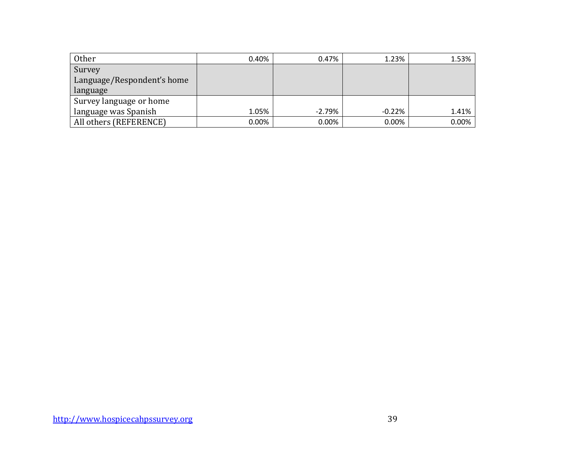| Other                      | 0.40%    | 0.47%    | 1.23%    | 1.53% |
|----------------------------|----------|----------|----------|-------|
| Survey                     |          |          |          |       |
| Language/Respondent's home |          |          |          |       |
| language                   |          |          |          |       |
| Survey language or home    |          |          |          |       |
| language was Spanish       | 1.05%    | $-2.79%$ | $-0.22%$ | 1.41% |
| All others (REFERENCE)     | $0.00\%$ | $0.00\%$ | $0.00\%$ | 0.00% |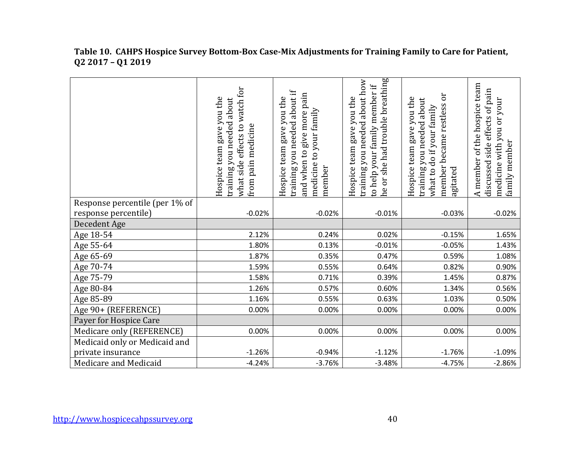|                                | watch for<br>Hospice team gave you the<br>training you needed about<br>effects to<br>from pain medicine<br>what side | about if<br>give more pain<br>Hospice team gave you the<br>medicine to your family<br>training you needed<br>and when to<br>member | he or she had trouble breathing<br>training you needed about how<br>to help your family member if<br>Hospice team gave you the | ör<br>Hospice team gave you the<br>training you needed about<br>member became restless<br>what to do if your family<br>agitated | A member of the hospice team<br>discussed side effects of pain<br>medicine with you or your<br>family member |
|--------------------------------|----------------------------------------------------------------------------------------------------------------------|------------------------------------------------------------------------------------------------------------------------------------|--------------------------------------------------------------------------------------------------------------------------------|---------------------------------------------------------------------------------------------------------------------------------|--------------------------------------------------------------------------------------------------------------|
| Response percentile (per 1% of |                                                                                                                      |                                                                                                                                    |                                                                                                                                |                                                                                                                                 |                                                                                                              |
| response percentile)           | $-0.02%$                                                                                                             | $-0.02%$                                                                                                                           | $-0.01%$                                                                                                                       | $-0.03%$                                                                                                                        | $-0.02%$                                                                                                     |
| Decedent Age                   |                                                                                                                      |                                                                                                                                    |                                                                                                                                |                                                                                                                                 |                                                                                                              |
| Age 18-54                      | 2.12%                                                                                                                | 0.24%                                                                                                                              | 0.02%                                                                                                                          | $-0.15%$                                                                                                                        | 1.65%                                                                                                        |
| Age 55-64                      | 1.80%                                                                                                                | 0.13%                                                                                                                              | $-0.01%$                                                                                                                       | $-0.05%$                                                                                                                        | 1.43%                                                                                                        |
| Age 65-69                      | 1.87%                                                                                                                | 0.35%                                                                                                                              | 0.47%                                                                                                                          | 0.59%                                                                                                                           | 1.08%                                                                                                        |
| Age 70-74                      | 1.59%                                                                                                                | 0.55%                                                                                                                              | 0.64%                                                                                                                          | 0.82%                                                                                                                           | 0.90%                                                                                                        |
| Age 75-79                      | 1.58%                                                                                                                | 0.71%                                                                                                                              | 0.39%                                                                                                                          | 1.45%                                                                                                                           | 0.87%                                                                                                        |
| Age 80-84                      | 1.26%                                                                                                                | 0.57%                                                                                                                              | 0.60%                                                                                                                          | 1.34%                                                                                                                           | 0.56%                                                                                                        |
| Age 85-89                      | 1.16%                                                                                                                | 0.55%                                                                                                                              | 0.63%                                                                                                                          | 1.03%                                                                                                                           | 0.50%                                                                                                        |
| Age 90+ (REFERENCE)            | 0.00%                                                                                                                | 0.00%                                                                                                                              | 0.00%                                                                                                                          | 0.00%                                                                                                                           | 0.00%                                                                                                        |
| Payer for Hospice Care         |                                                                                                                      |                                                                                                                                    |                                                                                                                                |                                                                                                                                 |                                                                                                              |
| Medicare only (REFERENCE)      | 0.00%                                                                                                                | 0.00%                                                                                                                              | 0.00%                                                                                                                          | 0.00%                                                                                                                           | 0.00%                                                                                                        |
| Medicaid only or Medicaid and  |                                                                                                                      |                                                                                                                                    |                                                                                                                                |                                                                                                                                 |                                                                                                              |
| private insurance              | $-1.26%$                                                                                                             | $-0.94%$                                                                                                                           | $-1.12%$                                                                                                                       | $-1.76%$                                                                                                                        | $-1.09%$                                                                                                     |
| Medicare and Medicaid          | $-4.24%$                                                                                                             | $-3.76%$                                                                                                                           | $-3.48%$                                                                                                                       | $-4.75%$                                                                                                                        | $-2.86%$                                                                                                     |

#### **Table 10. CAHPS Hospice Survey Bottom-Box Case-Mix Adjustments for Training Family to Care for Patient, Q2 2017 – Q1 2019**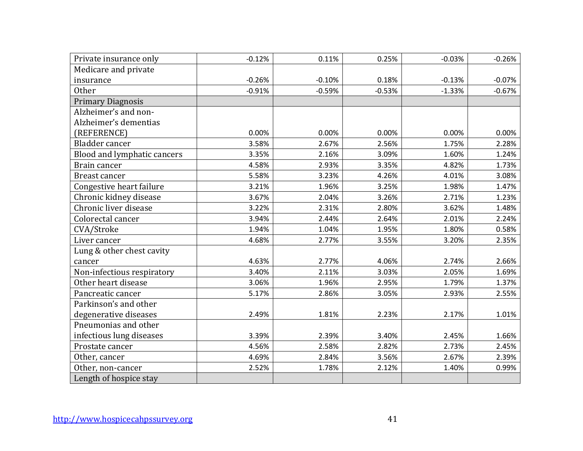| Private insurance only      | $-0.12%$ | 0.11%    | 0.25%    | $-0.03%$ | $-0.26%$ |
|-----------------------------|----------|----------|----------|----------|----------|
| Medicare and private        |          |          |          |          |          |
| insurance                   | $-0.26%$ | $-0.10%$ | 0.18%    | $-0.13%$ | $-0.07%$ |
| <b>Other</b>                | $-0.91%$ | $-0.59%$ | $-0.53%$ | $-1.33%$ | $-0.67%$ |
| <b>Primary Diagnosis</b>    |          |          |          |          |          |
| Alzheimer's and non-        |          |          |          |          |          |
| Alzheimer's dementias       |          |          |          |          |          |
| (REFERENCE)                 | 0.00%    | 0.00%    | 0.00%    | 0.00%    | 0.00%    |
| Bladder cancer              | 3.58%    | 2.67%    | 2.56%    | 1.75%    | 2.28%    |
| Blood and lymphatic cancers | 3.35%    | 2.16%    | 3.09%    | 1.60%    | 1.24%    |
| Brain cancer                | 4.58%    | 2.93%    | 3.35%    | 4.82%    | 1.73%    |
| Breast cancer               | 5.58%    | 3.23%    | 4.26%    | 4.01%    | 3.08%    |
| Congestive heart failure    | 3.21%    | 1.96%    | 3.25%    | 1.98%    | 1.47%    |
| Chronic kidney disease      | 3.67%    | 2.04%    | 3.26%    | 2.71%    | 1.23%    |
| Chronic liver disease       | 3.22%    | 2.31%    | 2.80%    | 3.62%    | 1.48%    |
| Colorectal cancer           | 3.94%    | 2.44%    | 2.64%    | 2.01%    | 2.24%    |
| CVA/Stroke                  | 1.94%    | 1.04%    | 1.95%    | 1.80%    | 0.58%    |
| Liver cancer                | 4.68%    | 2.77%    | 3.55%    | 3.20%    | 2.35%    |
| Lung & other chest cavity   |          |          |          |          |          |
| cancer                      | 4.63%    | 2.77%    | 4.06%    | 2.74%    | 2.66%    |
| Non-infectious respiratory  | 3.40%    | 2.11%    | 3.03%    | 2.05%    | 1.69%    |
| Other heart disease         | 3.06%    | 1.96%    | 2.95%    | 1.79%    | 1.37%    |
| Pancreatic cancer           | 5.17%    | 2.86%    | 3.05%    | 2.93%    | 2.55%    |
| Parkinson's and other       |          |          |          |          |          |
| degenerative diseases       | 2.49%    | 1.81%    | 2.23%    | 2.17%    | 1.01%    |
| Pneumonias and other        |          |          |          |          |          |
| infectious lung diseases    | 3.39%    | 2.39%    | 3.40%    | 2.45%    | 1.66%    |
| Prostate cancer             | 4.56%    | 2.58%    | 2.82%    | 2.73%    | 2.45%    |
| Other, cancer               | 4.69%    | 2.84%    | 3.56%    | 2.67%    | 2.39%    |
| Other, non-cancer           | 2.52%    | 1.78%    | 2.12%    | 1.40%    | 0.99%    |
| Length of hospice stay      |          |          |          |          |          |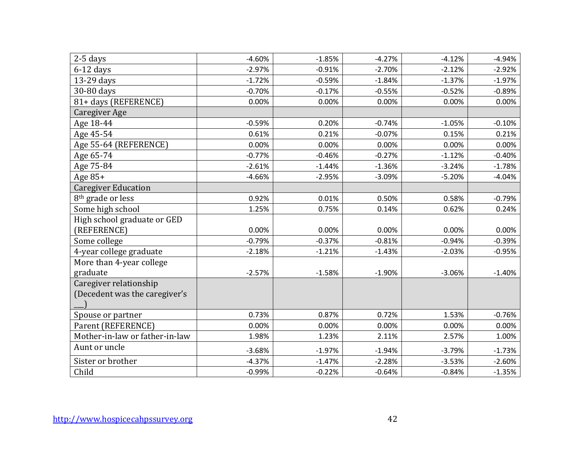| $2-5$ days                                              | $-4.60%$ | $-1.85%$ | $-4.27%$ | $-4.12%$ | $-4.94%$ |
|---------------------------------------------------------|----------|----------|----------|----------|----------|
| $6-12$ days                                             | $-2.97%$ | $-0.91%$ | $-2.70%$ | $-2.12%$ | $-2.92%$ |
| 13-29 days                                              | $-1.72%$ | $-0.59%$ | $-1.84%$ | $-1.37%$ | $-1.97%$ |
| 30-80 days                                              | $-0.70%$ | $-0.17%$ | $-0.55%$ | $-0.52%$ | $-0.89%$ |
| 81+ days (REFERENCE)                                    | 0.00%    | 0.00%    | 0.00%    | 0.00%    | 0.00%    |
| Caregiver Age                                           |          |          |          |          |          |
| Age 18-44                                               | $-0.59%$ | 0.20%    | $-0.74%$ | $-1.05%$ | $-0.10%$ |
| Age 45-54                                               | 0.61%    | 0.21%    | $-0.07%$ | 0.15%    | 0.21%    |
| Age 55-64 (REFERENCE)                                   | 0.00%    | 0.00%    | 0.00%    | 0.00%    | 0.00%    |
| Age 65-74                                               | $-0.77%$ | $-0.46%$ | $-0.27%$ | $-1.12%$ | $-0.40%$ |
| Age 75-84                                               | $-2.61%$ | $-1.44%$ | $-1.36%$ | $-3.24%$ | $-1.78%$ |
| Age 85+                                                 | $-4.66%$ | $-2.95%$ | $-3.09%$ | $-5.20%$ | $-4.04%$ |
| <b>Caregiver Education</b>                              |          |          |          |          |          |
| 8 <sup>th</sup> grade or less                           | 0.92%    | 0.01%    | 0.50%    | 0.58%    | $-0.79%$ |
| Some high school                                        | 1.25%    | 0.75%    | 0.14%    | 0.62%    | 0.24%    |
| High school graduate or GED                             |          |          |          |          |          |
| (REFERENCE)                                             | 0.00%    | 0.00%    | 0.00%    | 0.00%    | 0.00%    |
| Some college                                            | $-0.79%$ | $-0.37%$ | $-0.81%$ | $-0.94%$ | $-0.39%$ |
| 4-year college graduate                                 | $-2.18%$ | $-1.21%$ | $-1.43%$ | $-2.03%$ | $-0.95%$ |
| More than 4-year college                                |          |          |          |          |          |
| graduate                                                | $-2.57%$ | $-1.58%$ | $-1.90%$ | $-3.06%$ | $-1.40%$ |
| Caregiver relationship<br>(Decedent was the caregiver's |          |          |          |          |          |
| Spouse or partner                                       | 0.73%    | 0.87%    | 0.72%    | 1.53%    | $-0.76%$ |
| Parent (REFERENCE)                                      | 0.00%    | 0.00%    | 0.00%    | 0.00%    | 0.00%    |
| Mother-in-law or father-in-law                          | 1.98%    | 1.23%    | 2.11%    | 2.57%    | 1.00%    |
| Aunt or uncle                                           | $-3.68%$ | $-1.97%$ | $-1.94%$ | $-3.79%$ | $-1.73%$ |
| Sister or brother                                       | $-4.37%$ | $-1.47%$ | $-2.28%$ | $-3.53%$ | $-2.60%$ |
|                                                         | $-0.99%$ | $-0.22%$ | $-0.64%$ | $-0.84%$ | $-1.35%$ |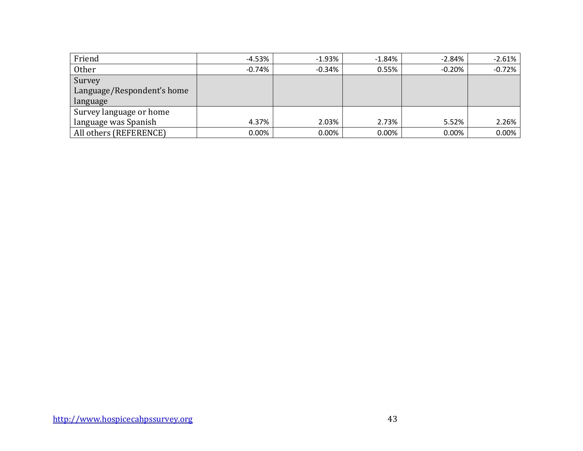| Friend                     | $-4.53%$ | $-1.93%$ | $-1.84%$ | $-2.84%$  | $-2.61%$ |
|----------------------------|----------|----------|----------|-----------|----------|
| Other                      | $-0.74%$ | $-0.34%$ | 0.55%    | $-0.20\%$ | $-0.72%$ |
| Survey                     |          |          |          |           |          |
| Language/Respondent's home |          |          |          |           |          |
| language                   |          |          |          |           |          |
| Survey language or home    |          |          |          |           |          |
| language was Spanish       | 4.37%    | 2.03%    | 2.73%    | 5.52%     | 2.26%    |
| All others (REFERENCE)     | $0.00\%$ | 0.00%    | 0.00%    | $0.00\%$  | $0.00\%$ |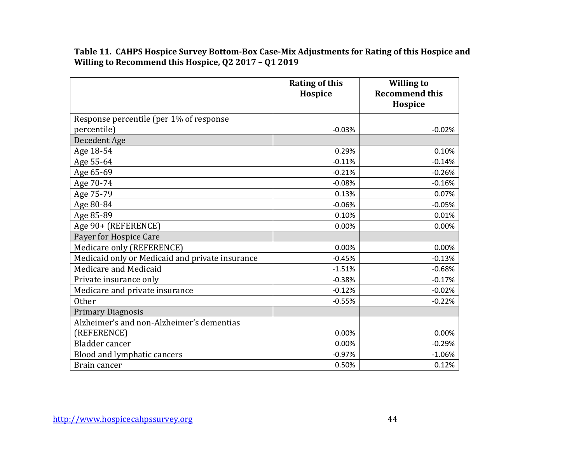**Table 11. CAHPS Hospice Survey Bottom-Box Case-Mix Adjustments for Rating of this Hospice and Willing to Recommend this Hospice, Q2 2017 – Q1 2019**

|                                                 | <b>Rating of this</b><br>Hospice | <b>Willing to</b><br><b>Recommend this</b> |
|-------------------------------------------------|----------------------------------|--------------------------------------------|
|                                                 |                                  | Hospice                                    |
| Response percentile (per 1% of response         |                                  |                                            |
| percentile)                                     | $-0.03%$                         | $-0.02%$                                   |
| Decedent Age                                    |                                  |                                            |
| Age 18-54                                       | 0.29%                            | 0.10%                                      |
| Age 55-64                                       | $-0.11%$                         | $-0.14%$                                   |
| Age 65-69                                       | $-0.21%$                         | $-0.26%$                                   |
| Age 70-74                                       | $-0.08%$                         | $-0.16%$                                   |
| Age 75-79                                       | 0.13%                            | 0.07%                                      |
| Age 80-84                                       | $-0.06%$                         | $-0.05%$                                   |
| Age 85-89                                       | 0.10%                            | 0.01%                                      |
| Age 90+ (REFERENCE)                             | 0.00%                            | 0.00%                                      |
| Payer for Hospice Care                          |                                  |                                            |
| Medicare only (REFERENCE)                       | 0.00%                            | 0.00%                                      |
| Medicaid only or Medicaid and private insurance | $-0.45%$                         | $-0.13%$                                   |
| Medicare and Medicaid                           | $-1.51%$                         | $-0.68%$                                   |
| Private insurance only                          | $-0.38%$                         | $-0.17%$                                   |
| Medicare and private insurance                  | $-0.12%$                         | $-0.02%$                                   |
| <b>Other</b>                                    | $-0.55%$                         | $-0.22%$                                   |
| <b>Primary Diagnosis</b>                        |                                  |                                            |
| Alzheimer's and non-Alzheimer's dementias       |                                  |                                            |
| (REFERENCE)                                     | 0.00%                            | 0.00%                                      |
| <b>Bladder</b> cancer                           | 0.00%                            | $-0.29%$                                   |
| Blood and lymphatic cancers                     | $-0.97%$                         | $-1.06%$                                   |
| Brain cancer                                    | 0.50%                            | 0.12%                                      |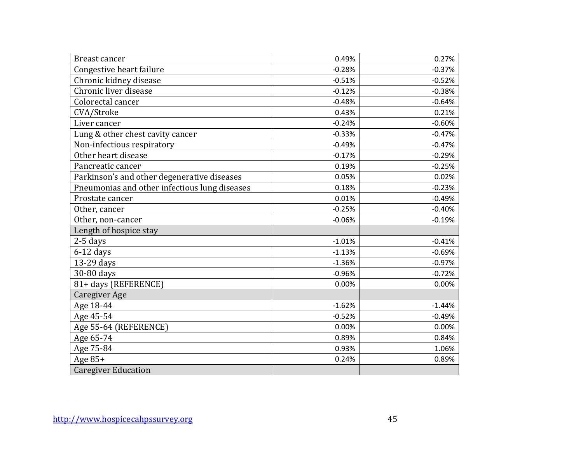| <b>Breast cancer</b>                          | 0.49%    | 0.27%    |
|-----------------------------------------------|----------|----------|
| Congestive heart failure                      | $-0.28%$ | $-0.37%$ |
| Chronic kidney disease                        | $-0.51%$ | $-0.52%$ |
| Chronic liver disease                         | $-0.12%$ | $-0.38%$ |
| Colorectal cancer                             | $-0.48%$ | $-0.64%$ |
| CVA/Stroke                                    | 0.43%    | 0.21%    |
| Liver cancer                                  | $-0.24%$ | $-0.60%$ |
| Lung & other chest cavity cancer              | $-0.33%$ | $-0.47%$ |
| Non-infectious respiratory                    | $-0.49%$ | $-0.47%$ |
| Other heart disease                           | $-0.17%$ | $-0.29%$ |
| Pancreatic cancer                             | 0.19%    | $-0.25%$ |
| Parkinson's and other degenerative diseases   | 0.05%    | 0.02%    |
| Pneumonias and other infectious lung diseases | 0.18%    | $-0.23%$ |
| Prostate cancer                               | 0.01%    | $-0.49%$ |
| Other, cancer                                 | $-0.25%$ | $-0.40%$ |
| Other, non-cancer                             | $-0.06%$ | $-0.19%$ |
| Length of hospice stay                        |          |          |
| 2-5 days                                      | $-1.01%$ | $-0.41%$ |
| $6-12$ days                                   | $-1.13%$ | $-0.69%$ |
| 13-29 days                                    | $-1.36%$ | $-0.97%$ |
| 30-80 days                                    | $-0.96%$ | $-0.72%$ |
| 81+ days (REFERENCE)                          | 0.00%    | 0.00%    |
| <b>Caregiver Age</b>                          |          |          |
| Age 18-44                                     | $-1.62%$ | $-1.44%$ |
| Age 45-54                                     | $-0.52%$ | $-0.49%$ |
| Age 55-64 (REFERENCE)                         | 0.00%    | 0.00%    |
| Age 65-74                                     | 0.89%    | 0.84%    |
| Age 75-84                                     | 0.93%    | 1.06%    |
| Age $85+$                                     | 0.24%    | 0.89%    |
| <b>Caregiver Education</b>                    |          |          |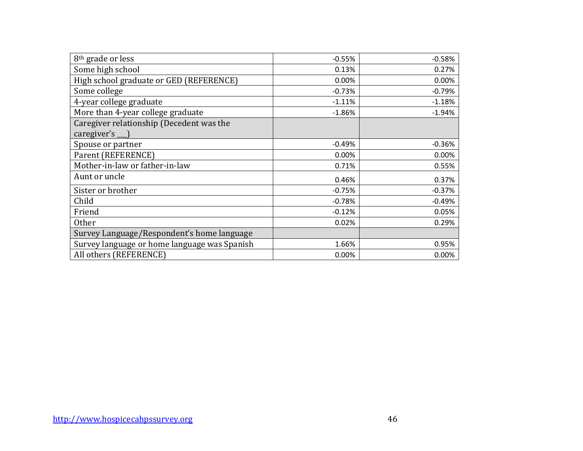| 8 <sup>th</sup> grade or less                                  | $-0.55%$ | $-0.58%$ |
|----------------------------------------------------------------|----------|----------|
| Some high school                                               | 0.13%    | 0.27%    |
| High school graduate or GED (REFERENCE)                        | 0.00%    | 0.00%    |
| Some college                                                   | $-0.73%$ | $-0.79%$ |
| 4-year college graduate                                        | $-1.11%$ | $-1.18%$ |
| More than 4-year college graduate                              | $-1.86%$ | $-1.94%$ |
| Caregiver relationship (Decedent was the<br>caregiver's $\Box$ |          |          |
| Spouse or partner                                              | $-0.49%$ | $-0.36%$ |
| Parent (REFERENCE)                                             | 0.00%    | 0.00%    |
| Mother-in-law or father-in-law                                 | 0.71%    | 0.55%    |
| Aunt or uncle                                                  | 0.46%    | 0.37%    |
| Sister or brother                                              | $-0.75%$ | $-0.37%$ |
| Child                                                          | $-0.78%$ | $-0.49%$ |
| Friend                                                         | $-0.12%$ | 0.05%    |
| <b>Other</b>                                                   | 0.02%    | 0.29%    |
| Survey Language/Respondent's home language                     |          |          |
| Survey language or home language was Spanish                   | 1.66%    | 0.95%    |
| All others (REFERENCE)                                         | 0.00%    | 0.00%    |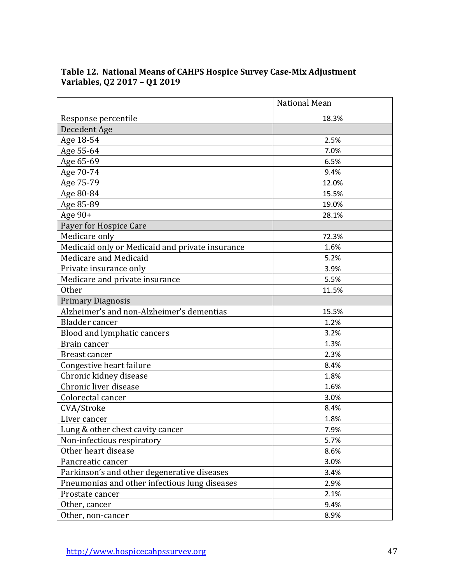|                                                 | <b>National Mean</b> |
|-------------------------------------------------|----------------------|
| Response percentile                             | 18.3%                |
| Decedent Age                                    |                      |
| Age 18-54                                       | 2.5%                 |
| Age 55-64                                       | 7.0%                 |
| Age 65-69                                       | 6.5%                 |
| Age 70-74                                       | 9.4%                 |
| Age 75-79                                       | 12.0%                |
| Age 80-84                                       | 15.5%                |
| Age 85-89                                       | 19.0%                |
| Age 90+                                         | 28.1%                |
| Payer for Hospice Care                          |                      |
| Medicare only                                   | 72.3%                |
| Medicaid only or Medicaid and private insurance | 1.6%                 |
| Medicare and Medicaid                           | 5.2%                 |
| Private insurance only                          | 3.9%                 |
| Medicare and private insurance                  | 5.5%                 |
| <b>Other</b>                                    | 11.5%                |
| <b>Primary Diagnosis</b>                        |                      |
| Alzheimer's and non-Alzheimer's dementias       | 15.5%                |
| Bladder cancer                                  | 1.2%                 |
| Blood and lymphatic cancers                     | 3.2%                 |
| Brain cancer                                    | 1.3%                 |
| Breast cancer                                   | 2.3%                 |
| Congestive heart failure                        | 8.4%                 |
| Chronic kidney disease                          | 1.8%                 |
| Chronic liver disease                           | 1.6%                 |
| Colorectal cancer                               | 3.0%                 |
| CVA/Stroke                                      | 8.4%                 |
| Liver cancer                                    | 1.8%                 |
| Lung & other chest cavity cancer                | 7.9%                 |
| Non-infectious respiratory                      | 5.7%                 |
| Other heart disease                             | 8.6%                 |
| Pancreatic cancer                               | 3.0%                 |
| Parkinson's and other degenerative diseases     | 3.4%                 |
| Pneumonias and other infectious lung diseases   | 2.9%                 |
| Prostate cancer                                 | 2.1%                 |
| Other, cancer                                   | 9.4%                 |
| Other, non-cancer                               | 8.9%                 |

# **Table 12. National Means of CAHPS Hospice Survey Case-Mix Adjustment Variables, Q2 2017 – Q1 2019**